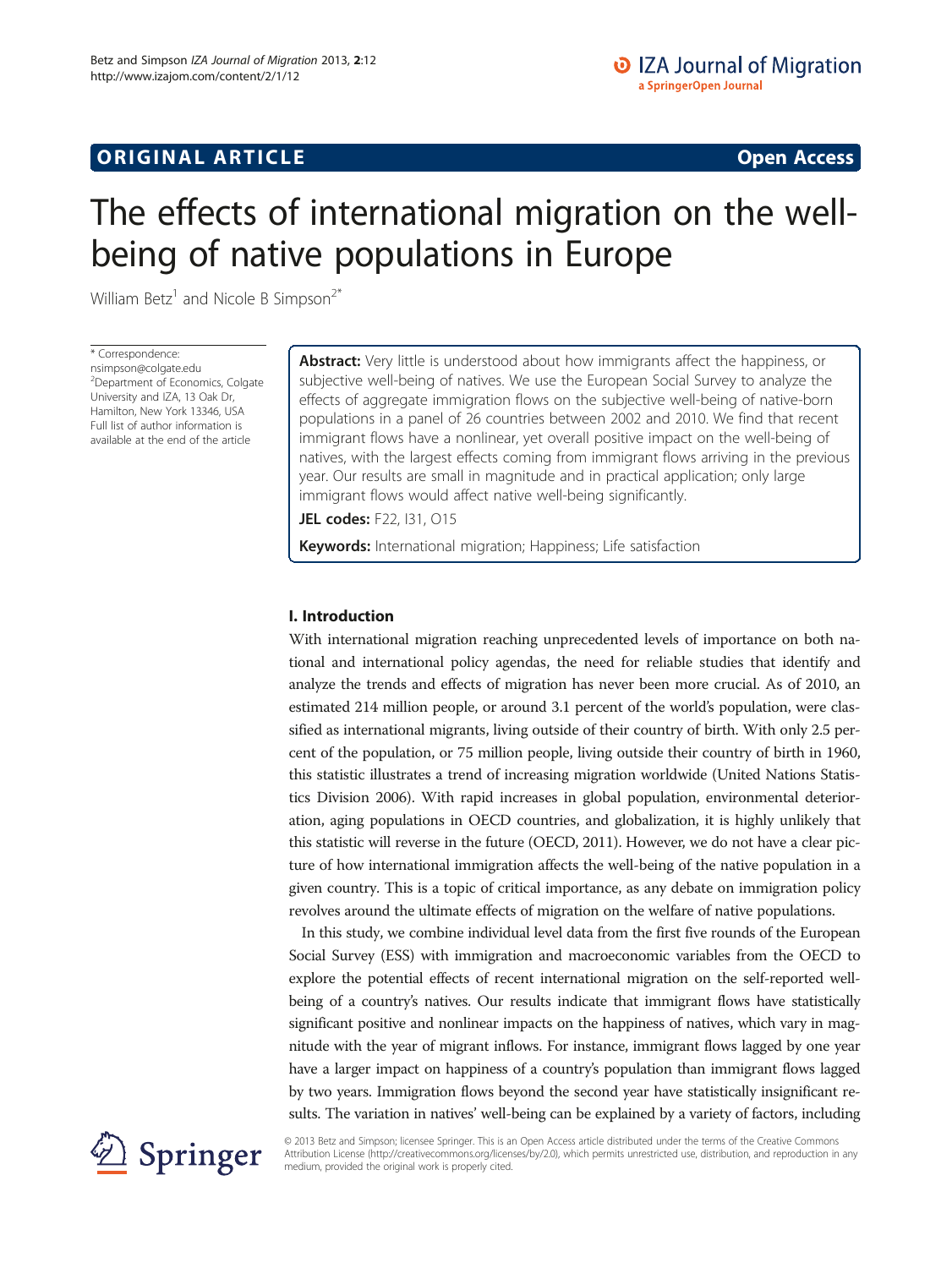# **ORIGINAL ARTICLE CONSUMING A LIGACION CONSUMING A LIGACION CONSUMING A LIGACION**

# The effects of international migration on the wellbeing of native populations in Europe

William Betz<sup>1</sup> and Nicole B Simpson<sup>2\*</sup>

\* Correspondence: nsimpson@colgate.edu 2 Department of Economics, Colgate University and IZA, 13 Oak Dr, Hamilton, New York 13346, USA Full list of author information is available at the end of the article

Abstract: Very little is understood about how immigrants affect the happiness, or subjective well-being of natives. We use the European Social Survey to analyze the effects of aggregate immigration flows on the subjective well-being of native-born populations in a panel of 26 countries between 2002 and 2010. We find that recent immigrant flows have a nonlinear, yet overall positive impact on the well-being of natives, with the largest effects coming from immigrant flows arriving in the previous year. Our results are small in magnitude and in practical application; only large immigrant flows would affect native well-being significantly.

JEL codes: F22, 131, 015

Keywords: International migration; Happiness; Life satisfaction

# I. Introduction

With international migration reaching unprecedented levels of importance on both national and international policy agendas, the need for reliable studies that identify and analyze the trends and effects of migration has never been more crucial. As of 2010, an estimated 214 million people, or around 3.1 percent of the world's population, were classified as international migrants, living outside of their country of birth. With only 2.5 percent of the population, or 75 million people, living outside their country of birth in 1960, this statistic illustrates a trend of increasing migration worldwide (United Nations Statistics Division [2006](#page-20-0)). With rapid increases in global population, environmental deterioration, aging populations in OECD countries, and globalization, it is highly unlikely that this statistic will reverse in the future (OECD, [2011\)](#page-20-0). However, we do not have a clear picture of how international immigration affects the well-being of the native population in a given country. This is a topic of critical importance, as any debate on immigration policy revolves around the ultimate effects of migration on the welfare of native populations.

In this study, we combine individual level data from the first five rounds of the European Social Survey (ESS) with immigration and macroeconomic variables from the OECD to explore the potential effects of recent international migration on the self-reported wellbeing of a country's natives. Our results indicate that immigrant flows have statistically significant positive and nonlinear impacts on the happiness of natives, which vary in magnitude with the year of migrant inflows. For instance, immigrant flows lagged by one year have a larger impact on happiness of a country's population than immigrant flows lagged by two years. Immigration flows beyond the second year have statistically insignificant results. The variation in natives' well-being can be explained by a variety of factors, including



© 2013 Betz and Simpson; licensee Springer. This is an Open Access article distributed under the terms of the Creative Commons Attribution License [\(http://creativecommons.org/licenses/by/2.0\)](http://creativecommons.org/licenses/by/2.0), which permits unrestricted use, distribution, and reproduction in any medium, provided the original work is properly cited.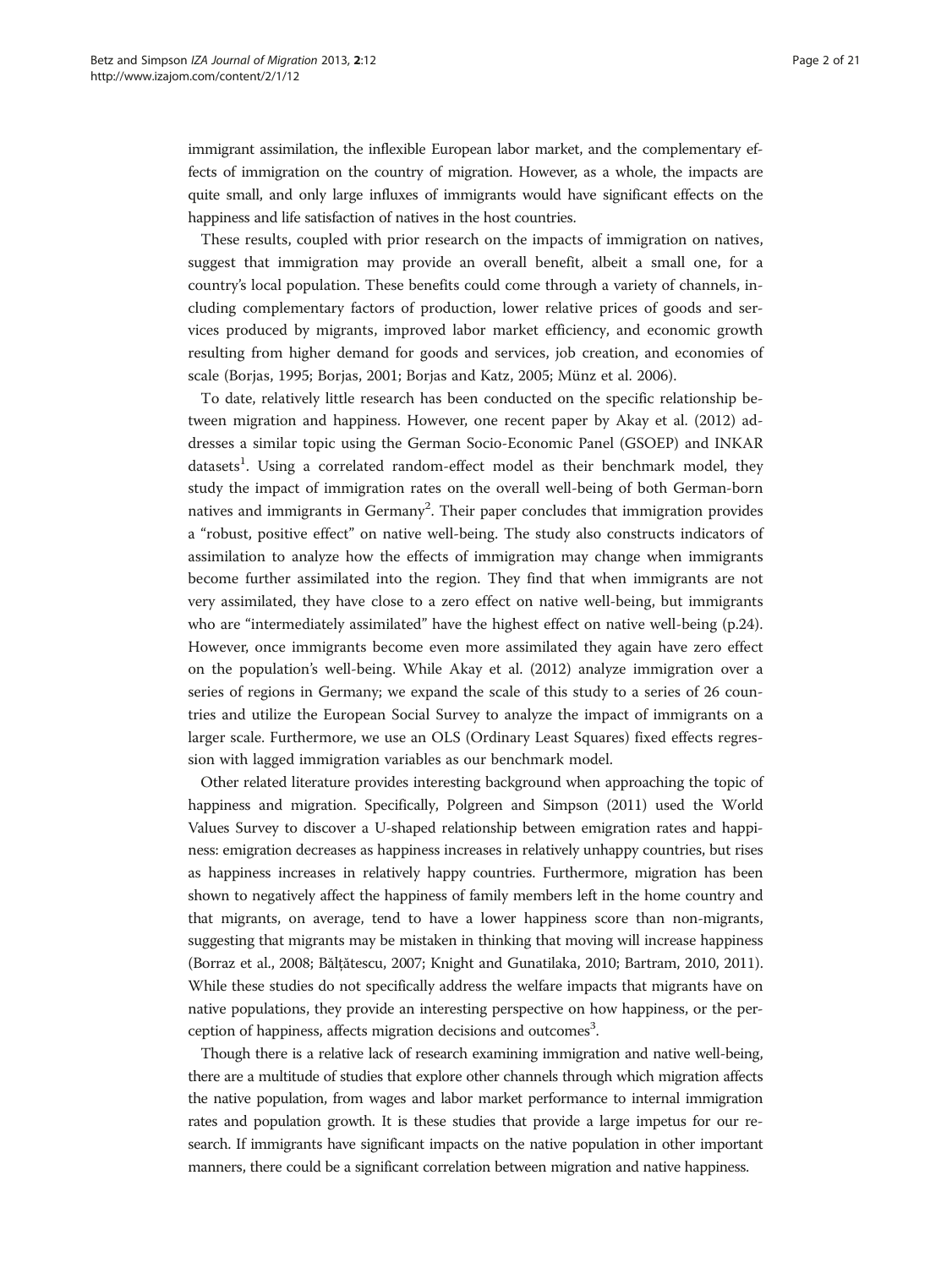immigrant assimilation, the inflexible European labor market, and the complementary effects of immigration on the country of migration. However, as a whole, the impacts are quite small, and only large influxes of immigrants would have significant effects on the happiness and life satisfaction of natives in the host countries.

These results, coupled with prior research on the impacts of immigration on natives, suggest that immigration may provide an overall benefit, albeit a small one, for a country's local population. These benefits could come through a variety of channels, including complementary factors of production, lower relative prices of goods and services produced by migrants, improved labor market efficiency, and economic growth resulting from higher demand for goods and services, job creation, and economies of scale (Borjas, [1995;](#page-19-0) Borjas, [2001](#page-19-0); Borjas and Katz, [2005;](#page-19-0) Münz et al. [2006](#page-20-0)).

To date, relatively little research has been conducted on the specific relationship between migration and happiness. However, one recent paper by Akay et al. ([2012](#page-19-0)) addresses a similar topic using the German Socio-Economic Panel (GSOEP) and INKAR datasets<sup>1</sup>. Using a correlated random-effect model as their benchmark model, they study the impact of immigration rates on the overall well-being of both German-born natives and immigrants in Germany<sup>2</sup>. Their paper concludes that immigration provides a "robust, positive effect" on native well-being. The study also constructs indicators of assimilation to analyze how the effects of immigration may change when immigrants become further assimilated into the region. They find that when immigrants are not very assimilated, they have close to a zero effect on native well-being, but immigrants who are "intermediately assimilated" have the highest effect on native well-being (p.24). However, once immigrants become even more assimilated they again have zero effect on the population's well-being. While Akay et al. ([2012](#page-19-0)) analyze immigration over a series of regions in Germany; we expand the scale of this study to a series of 26 countries and utilize the European Social Survey to analyze the impact of immigrants on a larger scale. Furthermore, we use an OLS (Ordinary Least Squares) fixed effects regression with lagged immigration variables as our benchmark model.

Other related literature provides interesting background when approaching the topic of happiness and migration. Specifically, Polgreen and Simpson ([2011\)](#page-20-0) used the World Values Survey to discover a U-shaped relationship between emigration rates and happiness: emigration decreases as happiness increases in relatively unhappy countries, but rises as happiness increases in relatively happy countries. Furthermore, migration has been shown to negatively affect the happiness of family members left in the home country and that migrants, on average, tend to have a lower happiness score than non-migrants, suggesting that migrants may be mistaken in thinking that moving will increase happiness (Borraz et al., [2008](#page-19-0); Bălțătescu, [2007](#page-19-0); Knight and Gunatilaka, [2010;](#page-20-0) Bartram, [2010, 2011](#page-19-0)). While these studies do not specifically address the welfare impacts that migrants have on native populations, they provide an interesting perspective on how happiness, or the perception of happiness, affects migration decisions and outcomes<sup>3</sup>.

Though there is a relative lack of research examining immigration and native well-being, there are a multitude of studies that explore other channels through which migration affects the native population, from wages and labor market performance to internal immigration rates and population growth. It is these studies that provide a large impetus for our research. If immigrants have significant impacts on the native population in other important manners, there could be a significant correlation between migration and native happiness.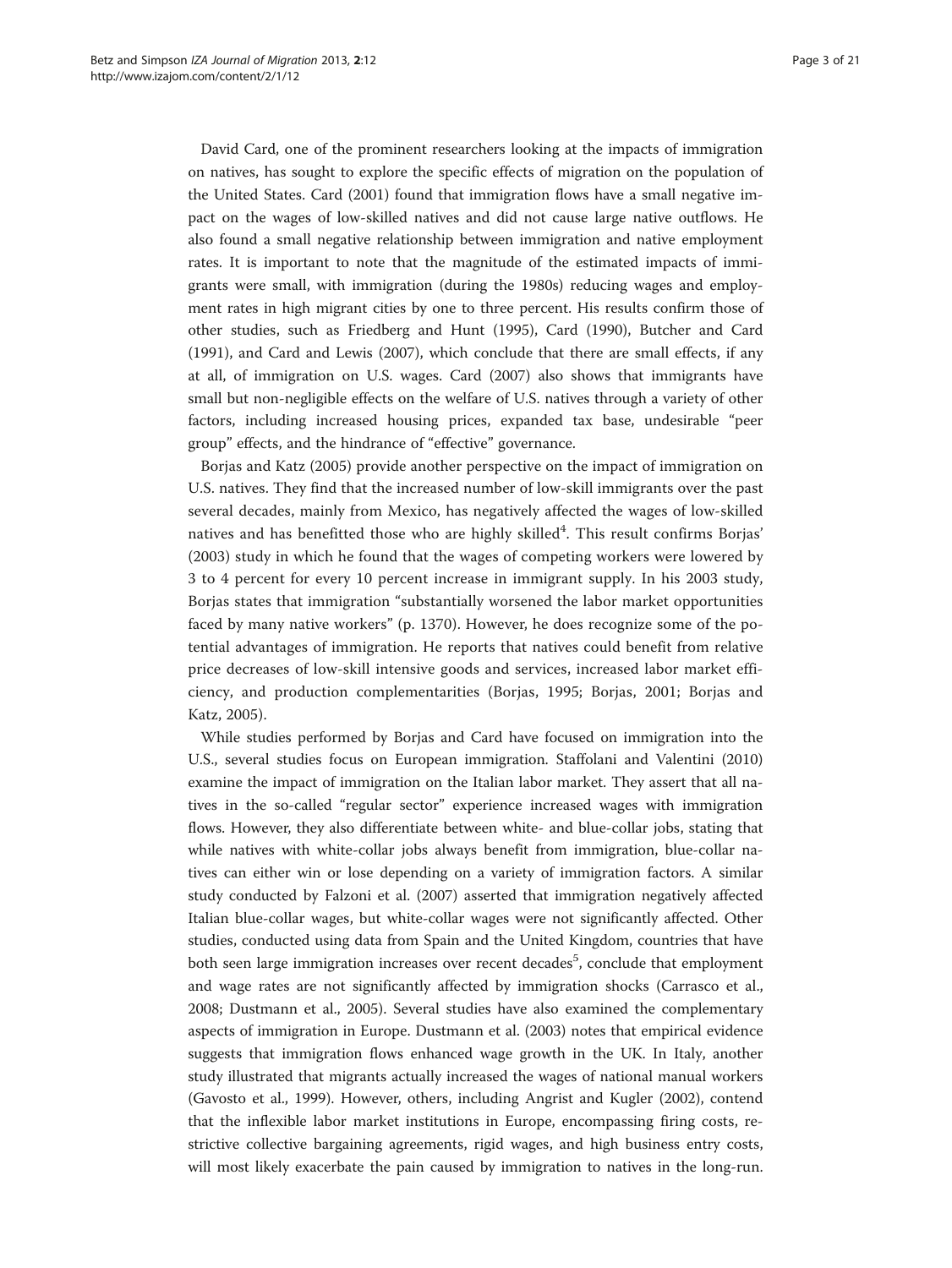David Card, one of the prominent researchers looking at the impacts of immigration on natives, has sought to explore the specific effects of migration on the population of the United States. Card ([2001\)](#page-19-0) found that immigration flows have a small negative impact on the wages of low-skilled natives and did not cause large native outflows. He also found a small negative relationship between immigration and native employment rates. It is important to note that the magnitude of the estimated impacts of immigrants were small, with immigration (during the 1980s) reducing wages and employment rates in high migrant cities by one to three percent. His results confirm those of other studies, such as Friedberg and Hunt ([1995](#page-20-0)), Card [\(1990\)](#page-19-0), Butcher and Card ([1991](#page-19-0)), and Card and Lewis [\(2007\)](#page-19-0), which conclude that there are small effects, if any at all, of immigration on U.S. wages. Card [\(2007\)](#page-19-0) also shows that immigrants have small but non-negligible effects on the welfare of U.S. natives through a variety of other factors, including increased housing prices, expanded tax base, undesirable "peer group" effects, and the hindrance of "effective" governance.

Borjas and Katz ([2005](#page-19-0)) provide another perspective on the impact of immigration on U.S. natives. They find that the increased number of low-skill immigrants over the past several decades, mainly from Mexico, has negatively affected the wages of low-skilled natives and has benefitted those who are highly skilled $4$ . This result confirms Borjas' ([2003\)](#page-19-0) study in which he found that the wages of competing workers were lowered by 3 to 4 percent for every 10 percent increase in immigrant supply. In his 2003 study, Borjas states that immigration "substantially worsened the labor market opportunities faced by many native workers" (p. 1370). However, he does recognize some of the potential advantages of immigration. He reports that natives could benefit from relative price decreases of low-skill intensive goods and services, increased labor market efficiency, and production complementarities (Borjas, [1995;](#page-19-0) Borjas, [2001;](#page-19-0) Borjas and Katz, [2005\)](#page-19-0).

While studies performed by Borjas and Card have focused on immigration into the U.S., several studies focus on European immigration. Staffolani and Valentini ([2010](#page-20-0)) examine the impact of immigration on the Italian labor market. They assert that all natives in the so-called "regular sector" experience increased wages with immigration flows. However, they also differentiate between white- and blue-collar jobs, stating that while natives with white-collar jobs always benefit from immigration, blue-collar natives can either win or lose depending on a variety of immigration factors. A similar study conducted by Falzoni et al. ([2007](#page-20-0)) asserted that immigration negatively affected Italian blue-collar wages, but white-collar wages were not significantly affected. Other studies, conducted using data from Spain and the United Kingdom, countries that have both seen large immigration increases over recent decades<sup>5</sup>, conclude that employment and wage rates are not significantly affected by immigration shocks (Carrasco et al., [2008](#page-19-0); Dustmann et al., [2005\)](#page-19-0). Several studies have also examined the complementary aspects of immigration in Europe. Dustmann et al. ([2003](#page-19-0)) notes that empirical evidence suggests that immigration flows enhanced wage growth in the UK. In Italy, another study illustrated that migrants actually increased the wages of national manual workers (Gavosto et al., [1999\)](#page-20-0). However, others, including Angrist and Kugler ([2002](#page-19-0)), contend that the inflexible labor market institutions in Europe, encompassing firing costs, restrictive collective bargaining agreements, rigid wages, and high business entry costs, will most likely exacerbate the pain caused by immigration to natives in the long-run.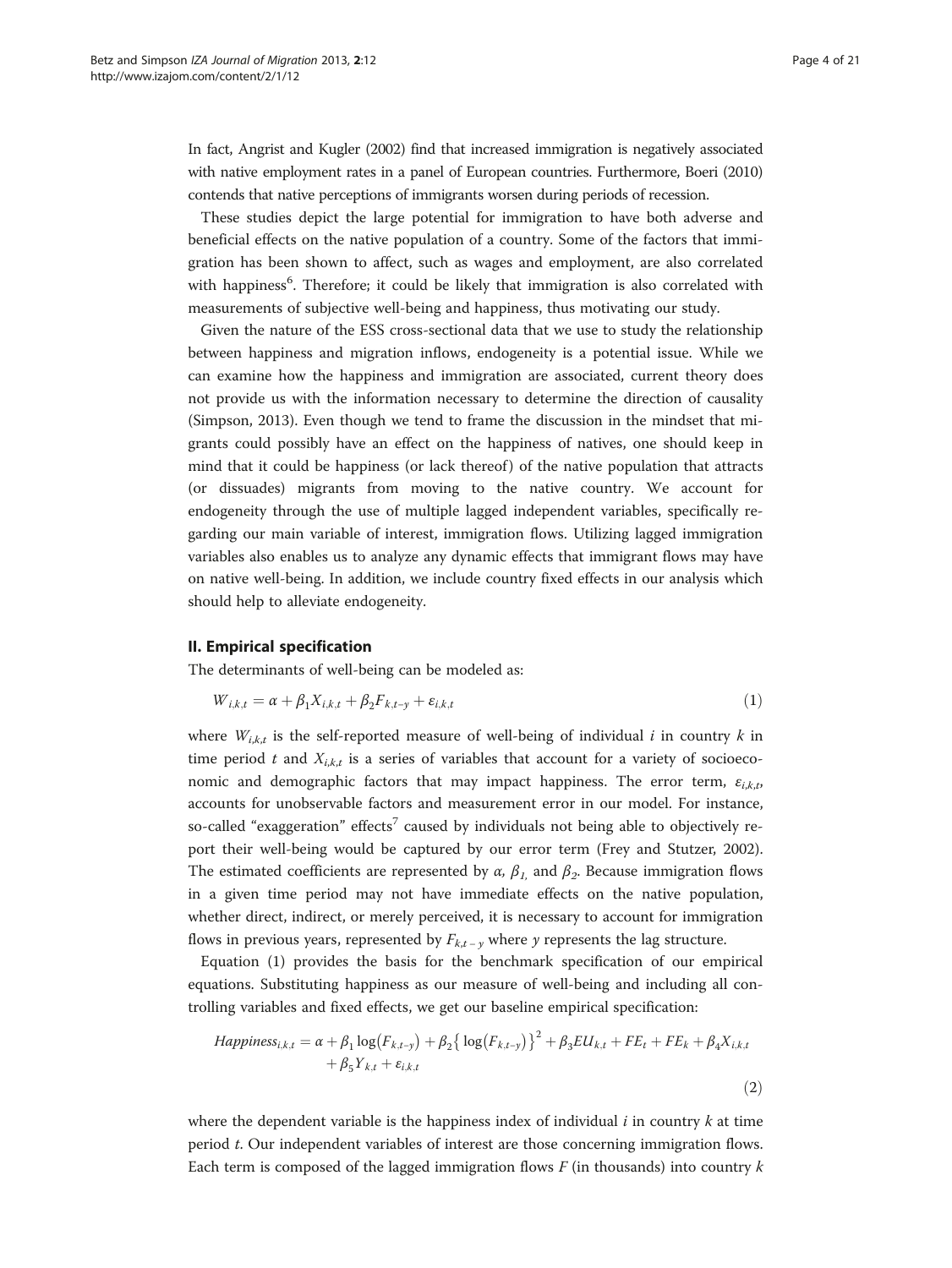In fact, Angrist and Kugler ([2002\)](#page-19-0) find that increased immigration is negatively associated with native employment rates in a panel of European countries. Furthermore, Boeri ([2010](#page-19-0)) contends that native perceptions of immigrants worsen during periods of recession.

These studies depict the large potential for immigration to have both adverse and beneficial effects on the native population of a country. Some of the factors that immigration has been shown to affect, such as wages and employment, are also correlated with happiness<sup>6</sup>. Therefore; it could be likely that immigration is also correlated with measurements of subjective well-being and happiness, thus motivating our study.

Given the nature of the ESS cross-sectional data that we use to study the relationship between happiness and migration inflows, endogeneity is a potential issue. While we can examine how the happiness and immigration are associated, current theory does not provide us with the information necessary to determine the direction of causality (Simpson, [2013](#page-20-0)). Even though we tend to frame the discussion in the mindset that migrants could possibly have an effect on the happiness of natives, one should keep in mind that it could be happiness (or lack thereof) of the native population that attracts (or dissuades) migrants from moving to the native country. We account for endogeneity through the use of multiple lagged independent variables, specifically regarding our main variable of interest, immigration flows. Utilizing lagged immigration variables also enables us to analyze any dynamic effects that immigrant flows may have on native well-being. In addition, we include country fixed effects in our analysis which should help to alleviate endogeneity.

#### II. Empirical specification

The determinants of well-being can be modeled as:

$$
W_{i,k,t} = \alpha + \beta_1 X_{i,k,t} + \beta_2 F_{k,t-y} + \varepsilon_{i,k,t}
$$
\n<sup>(1)</sup>

where  $W_{i,k,t}$  is the self-reported measure of well-being of individual i in country k in time period t and  $X_{i,k,t}$  is a series of variables that account for a variety of socioeconomic and demographic factors that may impact happiness. The error term,  $\varepsilon_{i,k,t}$ , accounts for unobservable factors and measurement error in our model. For instance, so-called "exaggeration" effects<sup>7</sup> caused by individuals not being able to objectively report their well-being would be captured by our error term (Frey and Stutzer, [2002](#page-20-0)). The estimated coefficients are represented by  $\alpha$ ,  $\beta$ <sub>*I*</sub>, and  $\beta$ <sub>2</sub>. Because immigration flows in a given time period may not have immediate effects on the native population, whether direct, indirect, or merely perceived, it is necessary to account for immigration flows in previous years, represented by  $F_{k,t-y}$  where y represents the lag structure.

Equation (1) provides the basis for the benchmark specification of our empirical equations. Substituting happiness as our measure of well-being and including all controlling variables and fixed effects, we get our baseline empirical specification:

*Happiness<sub>i,k,t</sub>* = 
$$
\alpha + \beta_1 \log(F_{k,t-y}) + \beta_2 \{ \log(F_{k,t-y}) \}^2 + \beta_3 EU_{k,t} + FE_t + FE_k + \beta_4 X_{i,k,t}
$$
  
+  $\beta_5 Y_{k,t} + \varepsilon_{i,k,t}$  (2)

where the dependent variable is the happiness index of individual  $i$  in country  $k$  at time period t. Our independent variables of interest are those concerning immigration flows. Each term is composed of the lagged immigration flows  $F$  (in thousands) into country  $k$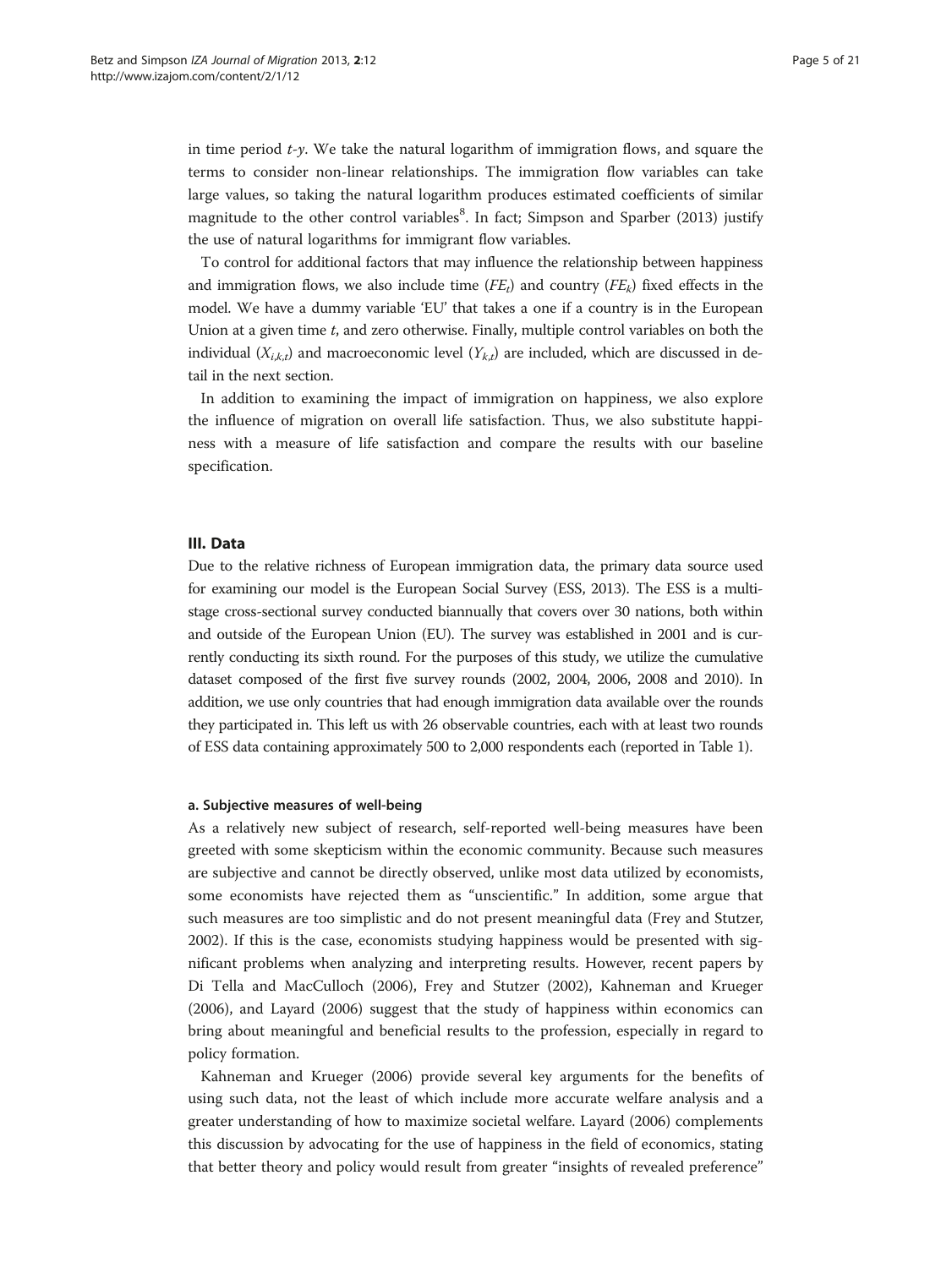in time period  $t-y$ . We take the natural logarithm of immigration flows, and square the terms to consider non-linear relationships. The immigration flow variables can take large values, so taking the natural logarithm produces estimated coefficients of similar magnitude to the other control variables<sup>8</sup>. In fact; Simpson and Sparber ([2013](#page-20-0)) justify the use of natural logarithms for immigrant flow variables.

To control for additional factors that may influence the relationship between happiness and immigration flows, we also include time  $(FE_t)$  and country  $(FE_k)$  fixed effects in the model. We have a dummy variable 'EU' that takes a one if a country is in the European Union at a given time  $t$ , and zero otherwise. Finally, multiple control variables on both the individual  $(X_{i,k,t})$  and macroeconomic level  $(Y_{k,t})$  are included, which are discussed in detail in the next section.

In addition to examining the impact of immigration on happiness, we also explore the influence of migration on overall life satisfaction. Thus, we also substitute happiness with a measure of life satisfaction and compare the results with our baseline specification.

#### III. Data

Due to the relative richness of European immigration data, the primary data source used for examining our model is the European Social Survey (ESS, [2013\)](#page-20-0). The ESS is a multistage cross-sectional survey conducted biannually that covers over 30 nations, both within and outside of the European Union (EU). The survey was established in 2001 and is currently conducting its sixth round. For the purposes of this study, we utilize the cumulative dataset composed of the first five survey rounds (2002, 2004, 2006, 2008 and 2010). In addition, we use only countries that had enough immigration data available over the rounds they participated in. This left us with 26 observable countries, each with at least two rounds of ESS data containing approximately 500 to 2,000 respondents each (reported in Table [1](#page-5-0)).

#### a. Subjective measures of well-being

As a relatively new subject of research, self-reported well-being measures have been greeted with some skepticism within the economic community. Because such measures are subjective and cannot be directly observed, unlike most data utilized by economists, some economists have rejected them as "unscientific." In addition, some argue that such measures are too simplistic and do not present meaningful data (Frey and Stutzer, [2002](#page-20-0)). If this is the case, economists studying happiness would be presented with significant problems when analyzing and interpreting results. However, recent papers by Di Tella and MacCulloch ([2006\)](#page-19-0), Frey and Stutzer ([2002](#page-20-0)), Kahneman and Krueger ([2006](#page-20-0)), and Layard [\(2006](#page-20-0)) suggest that the study of happiness within economics can bring about meaningful and beneficial results to the profession, especially in regard to policy formation.

Kahneman and Krueger ([2006](#page-20-0)) provide several key arguments for the benefits of using such data, not the least of which include more accurate welfare analysis and a greater understanding of how to maximize societal welfare. Layard [\(2006\)](#page-20-0) complements this discussion by advocating for the use of happiness in the field of economics, stating that better theory and policy would result from greater "insights of revealed preference"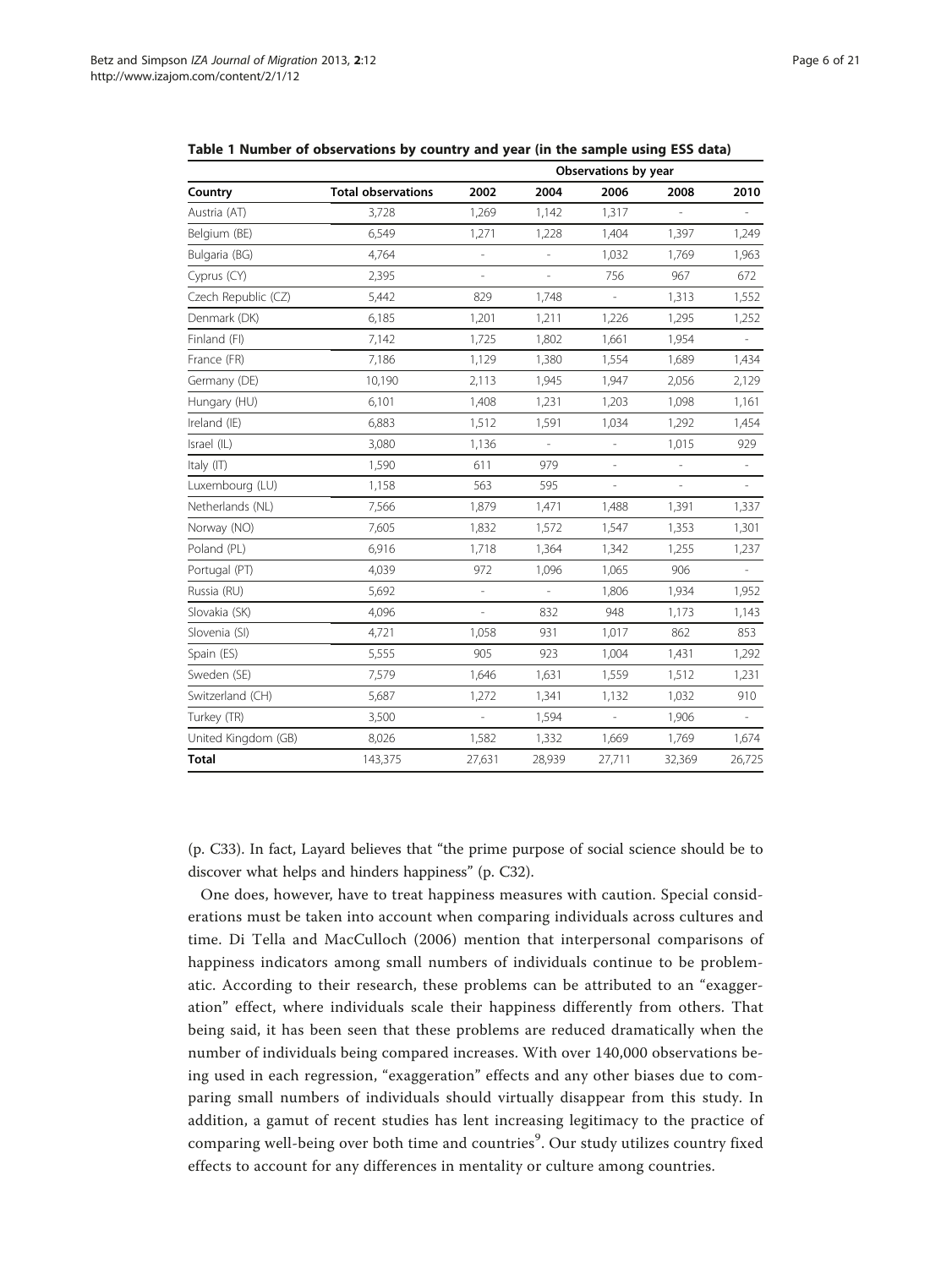<span id="page-5-0"></span>

| Table 1 Number of observations by country and year (in the sample using ESS data) |  |  |  |  |  |  |
|-----------------------------------------------------------------------------------|--|--|--|--|--|--|
|-----------------------------------------------------------------------------------|--|--|--|--|--|--|

|                     |                           | Observations by year     |                |                          |               |               |
|---------------------|---------------------------|--------------------------|----------------|--------------------------|---------------|---------------|
| Country             | <b>Total observations</b> | 2002                     | 2004           | 2006                     | 2008          | 2010          |
| Austria (AT)        | 3,728                     | 1,269                    | 1,142          | 1,317                    |               |               |
| Belgium (BE)        | 6,549                     | 1,271                    | 1,228          | 1,404                    | 1,397         | 1,249         |
| Bulgaria (BG)       | 4,764                     | ÷                        | $\overline{a}$ | 1,032                    | 1,769         | 1,963         |
| Cyprus (CY)         | 2,395                     | $\overline{\phantom{0}}$ | $\overline{a}$ | 756                      | 967           | 672           |
| Czech Republic (CZ) | 5,442                     | 829                      | 1,748          |                          | 1,313         | 1,552         |
| Denmark (DK)        | 6,185                     | 1,201                    | 1,211          | 1,226                    | 1,295         | 1,252         |
| Finland (FI)        | 7,142                     | 1,725                    | 1,802          | 1,661                    | 1,954         | $\frac{1}{2}$ |
| France (FR)         | 7,186                     | 1,129                    | 1,380          | 1,554                    | 1,689         | 1,434         |
| Germany (DE)        | 10,190                    | 2,113                    | 1,945          | 1,947                    | 2,056         | 2,129         |
| Hungary (HU)        | 6,101                     | 1,408                    | 1,231          | 1,203                    | 1,098         | 1,161         |
| Ireland (IE)        | 6,883                     | 1,512                    | 1,591          | 1,034                    | 1,292         | 1,454         |
| Israel (IL)         | 3,080                     | 1,136                    | $\frac{1}{2}$  | $\overline{a}$           | 1,015         | 929           |
| Italy (IT)          | 1,590                     | 611                      | 979            | i.                       | $\frac{1}{2}$ | ÷,            |
| Luxembourg (LU)     | 1,158                     | 563                      | 595            | $\overline{\phantom{0}}$ |               | $\frac{1}{2}$ |
| Netherlands (NL)    | 7,566                     | 1,879                    | 1,471          | 1,488                    | 1,391         | 1,337         |
| Norway (NO)         | 7,605                     | 1,832                    | 1,572          | 1,547                    | 1,353         | 1,301         |
| Poland (PL)         | 6,916                     | 1,718                    | 1,364          | 1,342                    | 1,255         | 1,237         |
| Portugal (PT)       | 4,039                     | 972                      | 1,096          | 1,065                    | 906           | ÷,            |
| Russia (RU)         | 5,692                     | ÷                        | $\overline{a}$ | 1,806                    | 1,934         | 1,952         |
| Slovakia (SK)       | 4,096                     | $\overline{\phantom{0}}$ | 832            | 948                      | 1,173         | 1,143         |
| Slovenia (SI)       | 4,721                     | 1,058                    | 931            | 1,017                    | 862           | 853           |
| Spain (ES)          | 5,555                     | 905                      | 923            | 1,004                    | 1,431         | 1,292         |
| Sweden (SE)         | 7,579                     | 1,646                    | 1,631          | 1,559                    | 1,512         | 1,231         |
| Switzerland (CH)    | 5,687                     | 1,272                    | 1,341          | 1,132                    | 1,032         | 910           |
| Turkey (TR)         | 3,500                     |                          | 1,594          | $\overline{a}$           | 1,906         | ÷,            |
| United Kingdom (GB) | 8,026                     | 1,582                    | 1,332          | 1,669                    | 1,769         | 1,674         |
| <b>Total</b>        | 143,375                   | 27,631                   | 28,939         | 27,711                   | 32,369        | 26,725        |

(p. C33). In fact, Layard believes that "the prime purpose of social science should be to discover what helps and hinders happiness" (p. C32).

One does, however, have to treat happiness measures with caution. Special considerations must be taken into account when comparing individuals across cultures and time. Di Tella and MacCulloch [\(2006\)](#page-19-0) mention that interpersonal comparisons of happiness indicators among small numbers of individuals continue to be problematic. According to their research, these problems can be attributed to an "exaggeration" effect, where individuals scale their happiness differently from others. That being said, it has been seen that these problems are reduced dramatically when the number of individuals being compared increases. With over 140,000 observations being used in each regression, "exaggeration" effects and any other biases due to comparing small numbers of individuals should virtually disappear from this study. In addition, a gamut of recent studies has lent increasing legitimacy to the practice of comparing well-being over both time and countries $\rm{^9}.$  Our study utilizes country fixed effects to account for any differences in mentality or culture among countries.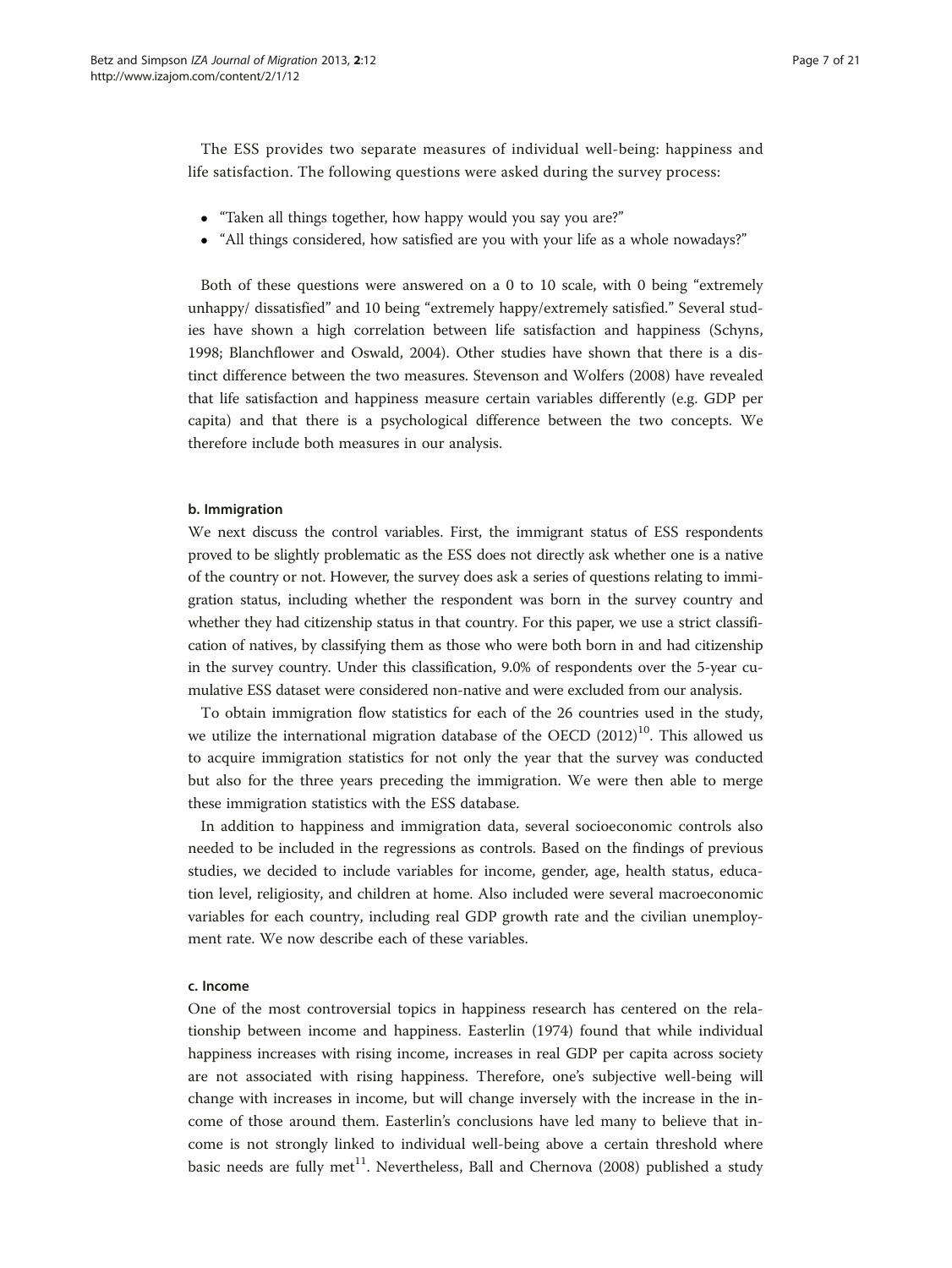The ESS provides two separate measures of individual well-being: happiness and life satisfaction. The following questions were asked during the survey process:

- "Taken all things together, how happy would you say you are?"
- -"All things considered, how satisfied are you with your life as a whole nowadays?"

Both of these questions were answered on a 0 to 10 scale, with 0 being "extremely unhappy/ dissatisfied" and 10 being "extremely happy/extremely satisfied." Several studies have shown a high correlation between life satisfaction and happiness (Schyns, [1998](#page-20-0); Blanchflower and Oswald, [2004](#page-19-0)). Other studies have shown that there is a distinct difference between the two measures. Stevenson and Wolfers ([2008](#page-20-0)) have revealed that life satisfaction and happiness measure certain variables differently (e.g. GDP per capita) and that there is a psychological difference between the two concepts. We therefore include both measures in our analysis.

# b. Immigration

We next discuss the control variables. First, the immigrant status of ESS respondents proved to be slightly problematic as the ESS does not directly ask whether one is a native of the country or not. However, the survey does ask a series of questions relating to immigration status, including whether the respondent was born in the survey country and whether they had citizenship status in that country. For this paper, we use a strict classification of natives, by classifying them as those who were both born in and had citizenship in the survey country. Under this classification, 9.0% of respondents over the 5-year cumulative ESS dataset were considered non-native and were excluded from our analysis.

To obtain immigration flow statistics for each of the 26 countries used in the study, we utilize the international migration database of the OECD  $(2012)^{10}$  $(2012)^{10}$ . This allowed us to acquire immigration statistics for not only the year that the survey was conducted but also for the three years preceding the immigration. We were then able to merge these immigration statistics with the ESS database.

In addition to happiness and immigration data, several socioeconomic controls also needed to be included in the regressions as controls. Based on the findings of previous studies, we decided to include variables for income, gender, age, health status, education level, religiosity, and children at home. Also included were several macroeconomic variables for each country, including real GDP growth rate and the civilian unemployment rate. We now describe each of these variables.

# c. Income

One of the most controversial topics in happiness research has centered on the relationship between income and happiness. Easterlin ([1974\)](#page-19-0) found that while individual happiness increases with rising income, increases in real GDP per capita across society are not associated with rising happiness. Therefore, one's subjective well-being will change with increases in income, but will change inversely with the increase in the income of those around them. Easterlin's conclusions have led many to believe that income is not strongly linked to individual well-being above a certain threshold where basic needs are fully met $^{11}$ . Nevertheless, Ball and Chernova ([2008](#page-19-0)) published a study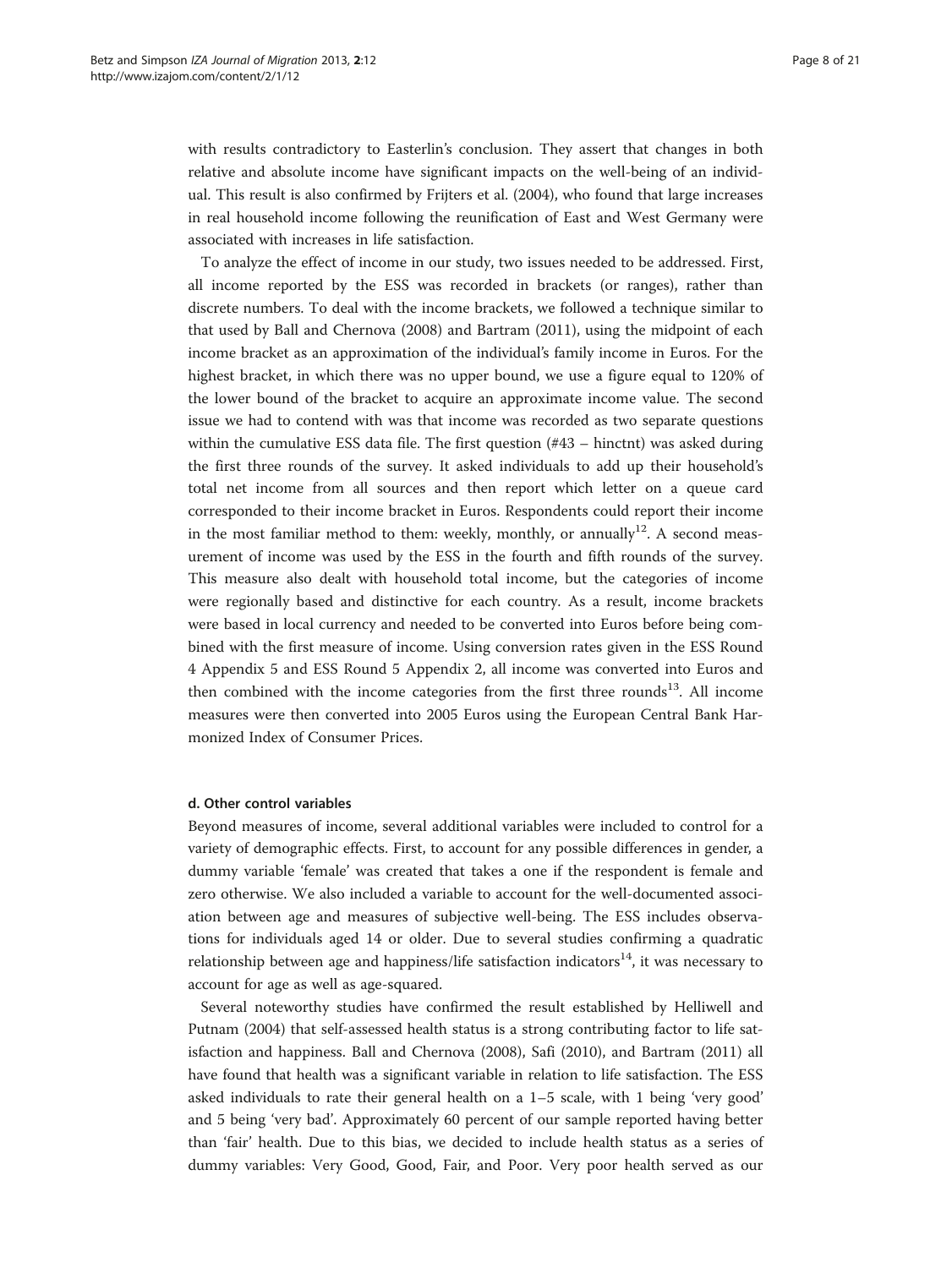with results contradictory to Easterlin's conclusion. They assert that changes in both relative and absolute income have significant impacts on the well-being of an individual. This result is also confirmed by Frijters et al. [\(2004\)](#page-20-0), who found that large increases in real household income following the reunification of East and West Germany were associated with increases in life satisfaction.

To analyze the effect of income in our study, two issues needed to be addressed. First, all income reported by the ESS was recorded in brackets (or ranges), rather than discrete numbers. To deal with the income brackets, we followed a technique similar to that used by Ball and Chernova [\(2008\)](#page-19-0) and Bartram [\(2011\)](#page-19-0), using the midpoint of each income bracket as an approximation of the individual's family income in Euros. For the highest bracket, in which there was no upper bound, we use a figure equal to 120% of the lower bound of the bracket to acquire an approximate income value. The second issue we had to contend with was that income was recorded as two separate questions within the cumulative ESS data file. The first question  $(\#43 - \text{hinctnt})$  was asked during the first three rounds of the survey. It asked individuals to add up their household's total net income from all sources and then report which letter on a queue card corresponded to their income bracket in Euros. Respondents could report their income in the most familiar method to them: weekly, monthly, or annually $12$ . A second measurement of income was used by the ESS in the fourth and fifth rounds of the survey. This measure also dealt with household total income, but the categories of income were regionally based and distinctive for each country. As a result, income brackets were based in local currency and needed to be converted into Euros before being combined with the first measure of income. Using conversion rates given in the ESS Round 4 Appendix 5 and ESS Round 5 Appendix 2, all income was converted into Euros and then combined with the income categories from the first three rounds<sup>13</sup>. All income measures were then converted into 2005 Euros using the European Central Bank Harmonized Index of Consumer Prices.

#### d. Other control variables

Beyond measures of income, several additional variables were included to control for a variety of demographic effects. First, to account for any possible differences in gender, a dummy variable 'female' was created that takes a one if the respondent is female and zero otherwise. We also included a variable to account for the well-documented association between age and measures of subjective well-being. The ESS includes observations for individuals aged 14 or older. Due to several studies confirming a quadratic relationship between age and happiness/life satisfaction indicators<sup>14</sup>, it was necessary to account for age as well as age-squared.

Several noteworthy studies have confirmed the result established by Helliwell and Putnam ([2004\)](#page-20-0) that self-assessed health status is a strong contributing factor to life satisfaction and happiness. Ball and Chernova [\(2008\)](#page-19-0), Safi [\(2010\)](#page-20-0), and Bartram ([2011](#page-19-0)) all have found that health was a significant variable in relation to life satisfaction. The ESS asked individuals to rate their general health on a 1–5 scale, with 1 being 'very good' and 5 being 'very bad'. Approximately 60 percent of our sample reported having better than 'fair' health. Due to this bias, we decided to include health status as a series of dummy variables: Very Good, Good, Fair, and Poor. Very poor health served as our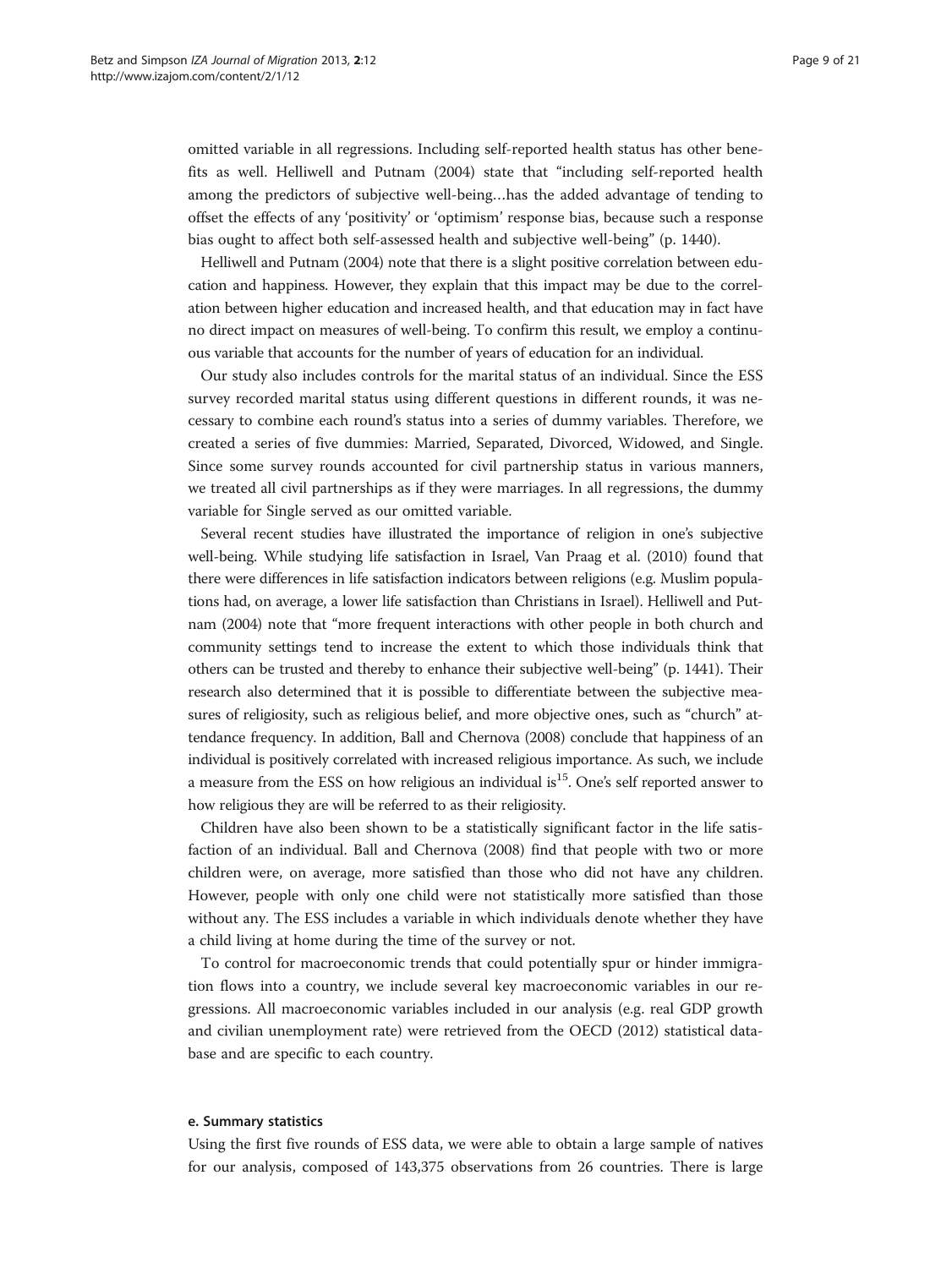omitted variable in all regressions. Including self-reported health status has other benefits as well. Helliwell and Putnam ([2004](#page-20-0)) state that "including self-reported health among the predictors of subjective well-being…has the added advantage of tending to offset the effects of any 'positivity' or 'optimism' response bias, because such a response bias ought to affect both self-assessed health and subjective well-being" (p. 1440).

Helliwell and Putnam ([2004](#page-20-0)) note that there is a slight positive correlation between education and happiness. However, they explain that this impact may be due to the correlation between higher education and increased health, and that education may in fact have no direct impact on measures of well-being. To confirm this result, we employ a continuous variable that accounts for the number of years of education for an individual.

Our study also includes controls for the marital status of an individual. Since the ESS survey recorded marital status using different questions in different rounds, it was necessary to combine each round's status into a series of dummy variables. Therefore, we created a series of five dummies: Married, Separated, Divorced, Widowed, and Single. Since some survey rounds accounted for civil partnership status in various manners, we treated all civil partnerships as if they were marriages. In all regressions, the dummy variable for Single served as our omitted variable.

Several recent studies have illustrated the importance of religion in one's subjective well-being. While studying life satisfaction in Israel, Van Praag et al. [\(2010](#page-20-0)) found that there were differences in life satisfaction indicators between religions (e.g. Muslim populations had, on average, a lower life satisfaction than Christians in Israel). Helliwell and Putnam ([2004](#page-20-0)) note that "more frequent interactions with other people in both church and community settings tend to increase the extent to which those individuals think that others can be trusted and thereby to enhance their subjective well-being" (p. 1441). Their research also determined that it is possible to differentiate between the subjective measures of religiosity, such as religious belief, and more objective ones, such as "church" attendance frequency. In addition, Ball and Chernova [\(2008\)](#page-19-0) conclude that happiness of an individual is positively correlated with increased religious importance. As such, we include a measure from the ESS on how religious an individual is $^{15}$ . One's self reported answer to how religious they are will be referred to as their religiosity.

Children have also been shown to be a statistically significant factor in the life satisfaction of an individual. Ball and Chernova ([2008](#page-19-0)) find that people with two or more children were, on average, more satisfied than those who did not have any children. However, people with only one child were not statistically more satisfied than those without any. The ESS includes a variable in which individuals denote whether they have a child living at home during the time of the survey or not.

To control for macroeconomic trends that could potentially spur or hinder immigration flows into a country, we include several key macroeconomic variables in our regressions. All macroeconomic variables included in our analysis (e.g. real GDP growth and civilian unemployment rate) were retrieved from the OECD ([2012](#page-20-0)) statistical database and are specific to each country.

#### e. Summary statistics

Using the first five rounds of ESS data, we were able to obtain a large sample of natives for our analysis, composed of 143,375 observations from 26 countries. There is large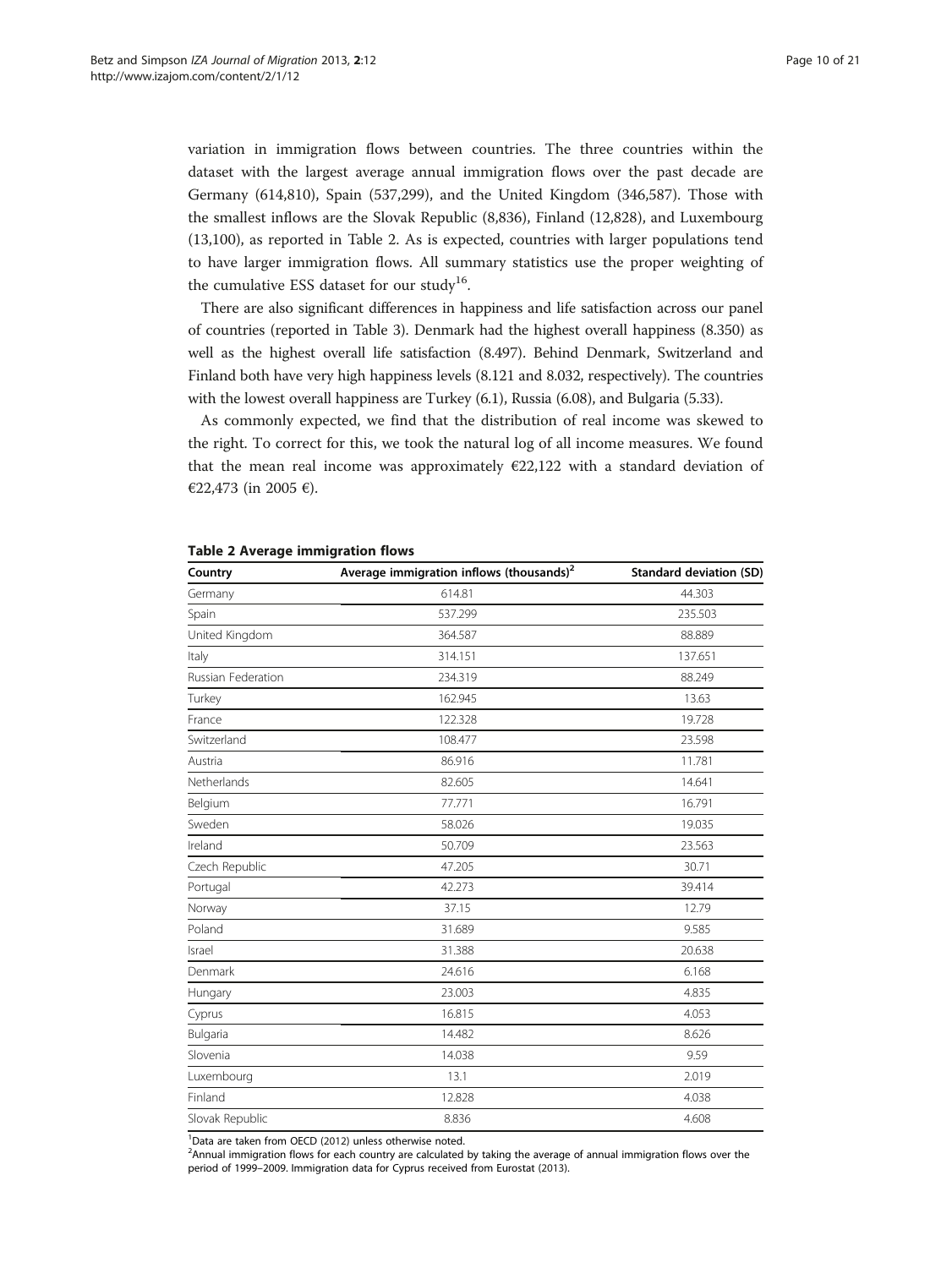variation in immigration flows between countries. The three countries within the dataset with the largest average annual immigration flows over the past decade are Germany (614,810), Spain (537,299), and the United Kingdom (346,587). Those with the smallest inflows are the Slovak Republic (8,836), Finland (12,828), and Luxembourg (13,100), as reported in Table 2. As is expected, countries with larger populations tend to have larger immigration flows. All summary statistics use the proper weighting of the cumulative ESS dataset for our study<sup>16</sup>.

There are also significant differences in happiness and life satisfaction across our panel of countries (reported in Table [3\)](#page-10-0). Denmark had the highest overall happiness (8.350) as well as the highest overall life satisfaction (8.497). Behind Denmark, Switzerland and Finland both have very high happiness levels (8.121 and 8.032, respectively). The countries with the lowest overall happiness are Turkey (6.1), Russia (6.08), and Bulgaria (5.33).

As commonly expected, we find that the distribution of real income was skewed to the right. To correct for this, we took the natural log of all income measures. We found that the mean real income was approximately  $E22,122$  with a standard deviation of €22,473 (in 2005 €).

| Country            | Average immigration inflows (thousands) <sup>2</sup> | <b>Standard deviation (SD)</b> |
|--------------------|------------------------------------------------------|--------------------------------|
| Germany            | 614.81                                               | 44.303                         |
| Spain              | 537.299                                              | 235.503                        |
| United Kingdom     | 364.587                                              | 88.889                         |
| Italy              | 314.151                                              | 137.651                        |
| Russian Federation | 234.319                                              | 88.249                         |
| Turkey             | 162.945                                              | 13.63                          |
| France             | 122.328                                              | 19.728                         |
| Switzerland        | 108.477                                              | 23.598                         |
| Austria            | 86.916                                               | 11.781                         |
| Netherlands        | 82.605                                               | 14.641                         |
| Belgium            | 77.771                                               | 16.791                         |
| Sweden             | 58.026                                               | 19.035                         |
| Ireland            | 50.709                                               | 23.563                         |
| Czech Republic     | 47.205                                               | 30.71                          |
| Portugal           | 42.273                                               | 39.414                         |
| Norway             | 37.15                                                | 12.79                          |
| Poland             | 31.689                                               | 9.585                          |
| Israel             | 31.388                                               | 20.638                         |
| Denmark            | 24.616                                               | 6.168                          |
| Hungary            | 23.003                                               | 4.835                          |
| Cyprus             | 16.815                                               | 4.053                          |
| Bulgaria           | 14.482                                               | 8.626                          |
| Slovenia           | 14.038                                               | 9.59                           |
| Luxembourg         | 13.1                                                 | 2.019                          |
| Finland            | 12.828                                               | 4.038                          |
| Slovak Republic    | 8.836                                                | 4.608                          |

#### Table 2 Average immigration flows

<sup>1</sup>Data are taken from OECD ([2012\)](#page-20-0) unless otherwise noted.<br><sup>2</sup>Annual immigration flows for each country are calculated

 $<sup>2</sup>$ Annual immigration flows for each country are calculated by taking the average of annual immigration flows over the</sup> period of 1999–2009. Immigration data for Cyprus received from Eurostat ([2013](#page-20-0)).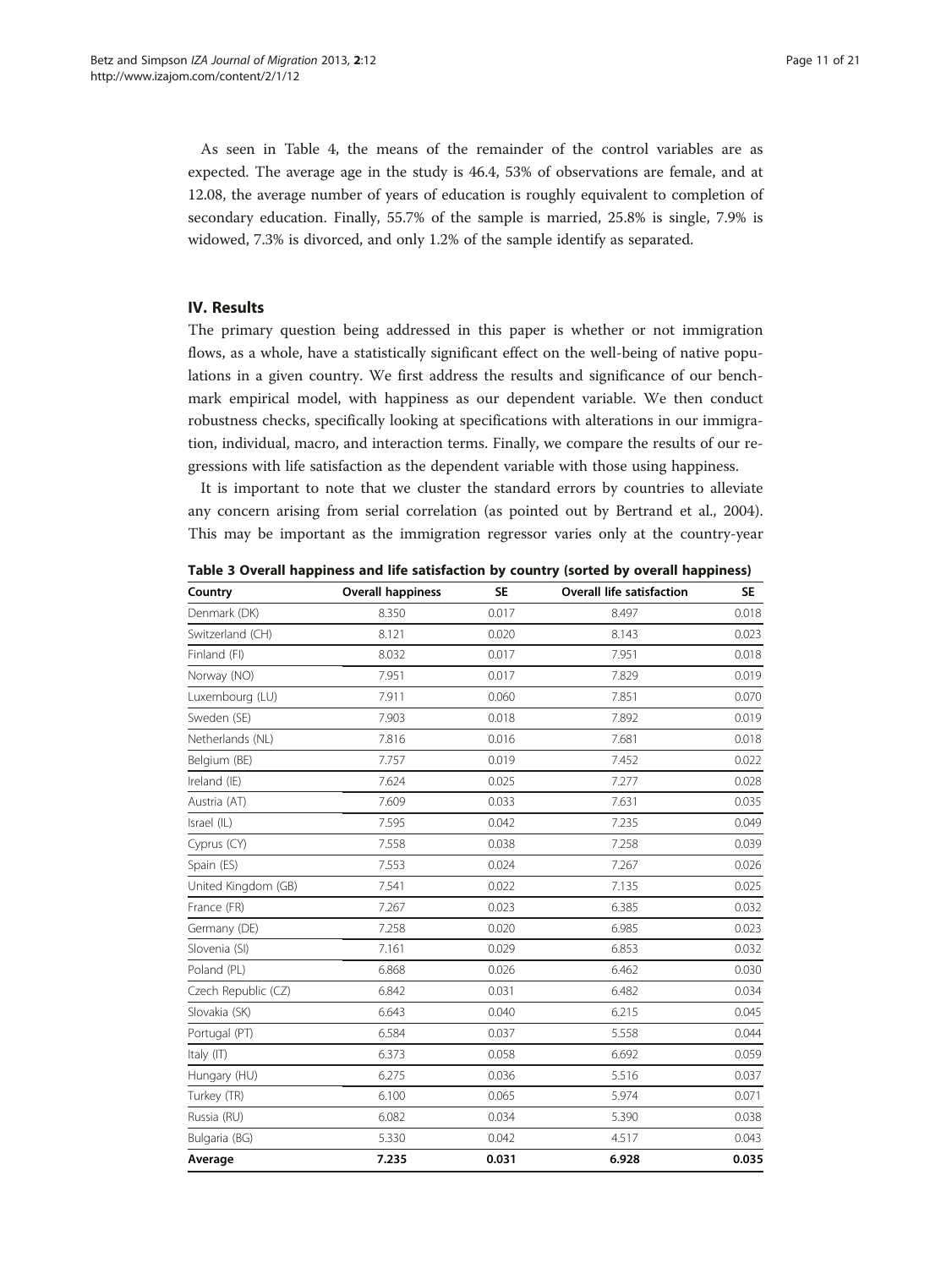<span id="page-10-0"></span>As seen in Table [4](#page-11-0), the means of the remainder of the control variables are as expected. The average age in the study is 46.4, 53% of observations are female, and at 12.08, the average number of years of education is roughly equivalent to completion of secondary education. Finally, 55.7% of the sample is married, 25.8% is single, 7.9% is widowed, 7.3% is divorced, and only 1.2% of the sample identify as separated.

# IV. Results

The primary question being addressed in this paper is whether or not immigration flows, as a whole, have a statistically significant effect on the well-being of native populations in a given country. We first address the results and significance of our benchmark empirical model, with happiness as our dependent variable. We then conduct robustness checks, specifically looking at specifications with alterations in our immigration, individual, macro, and interaction terms. Finally, we compare the results of our regressions with life satisfaction as the dependent variable with those using happiness.

It is important to note that we cluster the standard errors by countries to alleviate any concern arising from serial correlation (as pointed out by Bertrand et al., [2004](#page-19-0)). This may be important as the immigration regressor varies only at the country-year

Table 3 Overall happiness and life satisfaction by country (sorted by overall happiness)

| Country             | <b>Overall happiness</b> | <b>SE</b> | Overall life satisfaction | <b>SE</b> |
|---------------------|--------------------------|-----------|---------------------------|-----------|
| Denmark (DK)        | 8.350                    | 0.017     | 8.497                     | 0.018     |
| Switzerland (CH)    | 8.121                    | 0.020     | 8.143                     | 0.023     |
| Finland (FI)        | 8.032                    | 0.017     | 7.951                     | 0.018     |
| Norway (NO)         | 7.951                    | 0.017     | 7.829                     | 0.019     |
| Luxembourg (LU)     | 7.911                    | 0.060     | 7.851                     | 0.070     |
| Sweden (SE)         | 7.903                    | 0.018     | 7.892                     | 0.019     |
| Netherlands (NL)    | 7.816                    | 0.016     | 7.681                     | 0.018     |
| Belgium (BE)        | 7.757                    | 0.019     | 7.452                     | 0.022     |
| Ireland (IE)        | 7.624                    | 0.025     | 7.277                     | 0.028     |
| Austria (AT)        | 7.609                    | 0.033     | 7.631                     | 0.035     |
| Israel (IL)         | 7.595                    | 0.042     | 7.235                     | 0.049     |
| Cyprus (CY)         | 7.558                    | 0.038     | 7.258                     | 0.039     |
| Spain (ES)          | 7.553                    | 0.024     | 7.267                     | 0.026     |
| United Kingdom (GB) | 7.541                    | 0.022     | 7.135                     | 0.025     |
| France (FR)         | 7.267                    | 0.023     | 6.385                     | 0.032     |
| Germany (DE)        | 7.258                    | 0.020     | 6.985                     | 0.023     |
| Slovenia (SI)       | 7.161                    | 0.029     | 6.853                     | 0.032     |
| Poland (PL)         | 6.868                    | 0.026     | 6.462                     | 0.030     |
| Czech Republic (CZ) | 6.842                    | 0.031     | 6.482                     | 0.034     |
| Slovakia (SK)       | 6.643                    | 0.040     | 6.215                     | 0.045     |
| Portugal (PT)       | 6.584                    | 0.037     | 5.558                     | 0.044     |
| Italy (IT)          | 6.373                    | 0.058     | 6.692                     | 0.059     |
| Hungary (HU)        | 6.275                    | 0.036     | 5.516                     | 0.037     |
| Turkey (TR)         | 6.100                    | 0.065     | 5.974                     | 0.071     |
| Russia (RU)         | 6.082                    | 0.034     | 5.390                     | 0.038     |
| Bulgaria (BG)       | 5.330                    | 0.042     | 4.517                     | 0.043     |
| Average             | 7.235                    | 0.031     | 6.928                     | 0.035     |
|                     |                          |           |                           |           |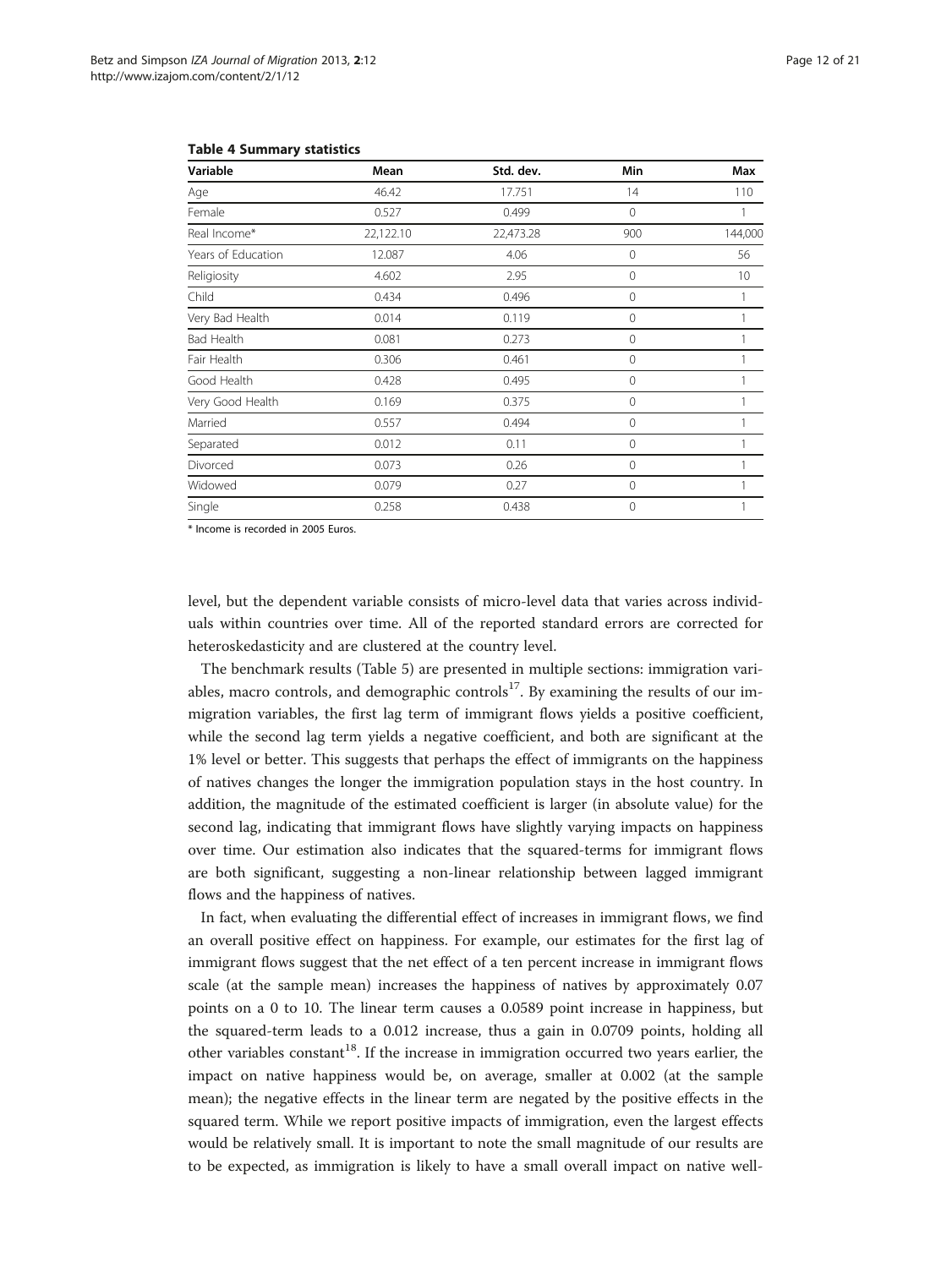| Variable           | Mean      | Std. dev. | Min          | Max     |
|--------------------|-----------|-----------|--------------|---------|
| Age                | 46.42     | 17.751    | 14           | 110     |
| Female             | 0.527     | 0.499     | $\mathbf 0$  |         |
| Real Income*       | 22,122.10 | 22,473.28 | 900          | 144,000 |
| Years of Education | 12.087    | 4.06      | $\mathbf{0}$ | 56      |
| Religiosity        | 4.602     | 2.95      | $\mathbf{0}$ | 10      |
| Child              | 0.434     | 0.496     | $\mathbf{0}$ |         |
| Very Bad Health    | 0.014     | 0.119     | $\mathbf{0}$ |         |
| <b>Bad Health</b>  | 0.081     | 0.273     | $\mathbf{0}$ |         |
| Fair Health        | 0.306     | 0.461     | $\mathbf 0$  |         |
| Good Health        | 0.428     | 0.495     | $\mathbf{0}$ |         |
| Very Good Health   | 0.169     | 0.375     | $\mathbf{0}$ |         |
| Married            | 0.557     | 0.494     | $\Omega$     |         |
| Separated          | 0.012     | 0.11      | 0            |         |
| Divorced           | 0.073     | 0.26      | $\mathbf{0}$ |         |
| Widowed            | 0.079     | 0.27      | $\mathbf{0}$ |         |
| Single             | 0.258     | 0.438     | $\mathbf{0}$ |         |

#### <span id="page-11-0"></span>Table 4 Summary statistics

\* Income is recorded in 2005 Euros.

level, but the dependent variable consists of micro-level data that varies across individuals within countries over time. All of the reported standard errors are corrected for heteroskedasticity and are clustered at the country level.

The benchmark results (Table [5](#page-12-0)) are presented in multiple sections: immigration variables, macro controls, and demographic controls<sup>17</sup>. By examining the results of our immigration variables, the first lag term of immigrant flows yields a positive coefficient, while the second lag term yields a negative coefficient, and both are significant at the 1% level or better. This suggests that perhaps the effect of immigrants on the happiness of natives changes the longer the immigration population stays in the host country. In addition, the magnitude of the estimated coefficient is larger (in absolute value) for the second lag, indicating that immigrant flows have slightly varying impacts on happiness over time. Our estimation also indicates that the squared-terms for immigrant flows are both significant, suggesting a non-linear relationship between lagged immigrant flows and the happiness of natives.

In fact, when evaluating the differential effect of increases in immigrant flows, we find an overall positive effect on happiness. For example, our estimates for the first lag of immigrant flows suggest that the net effect of a ten percent increase in immigrant flows scale (at the sample mean) increases the happiness of natives by approximately 0.07 points on a 0 to 10. The linear term causes a 0.0589 point increase in happiness, but the squared-term leads to a 0.012 increase, thus a gain in 0.0709 points, holding all other variables constant<sup>18</sup>. If the increase in immigration occurred two years earlier, the impact on native happiness would be, on average, smaller at 0.002 (at the sample mean); the negative effects in the linear term are negated by the positive effects in the squared term. While we report positive impacts of immigration, even the largest effects would be relatively small. It is important to note the small magnitude of our results are to be expected, as immigration is likely to have a small overall impact on native well-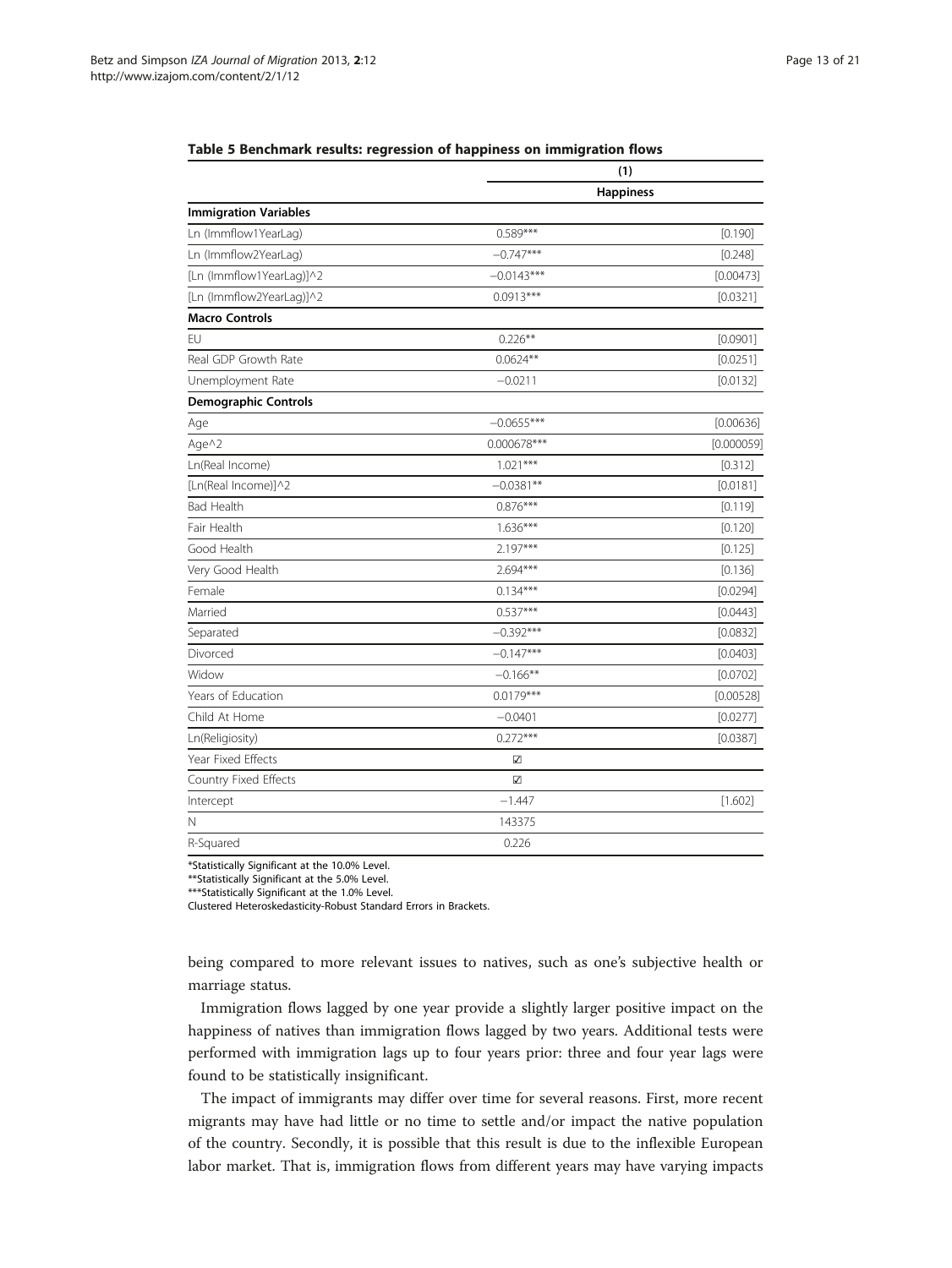|                              | (1)<br><b>Happiness</b> |            |  |
|------------------------------|-------------------------|------------|--|
|                              |                         |            |  |
| <b>Immigration Variables</b> |                         |            |  |
| Ln (Immflow1YearLag)         | $0.589***$              | [0.190]    |  |
| Ln (Immflow2YearLag)         | $-0.747***$             | [0.248]    |  |
| [Ln (Immflow1YearLag)]^2     | $-0.0143***$            | [0.00473]  |  |
| [Ln (Immflow2YearLag)]^2     | $0.0913***$             | [0.0321]   |  |
| <b>Macro Controls</b>        |                         |            |  |
| EU                           | $0.226**$               | [0.0901]   |  |
| Real GDP Growth Rate         | $0.0624**$              | [0.0251]   |  |
| Unemployment Rate            | $-0.0211$               | [0.0132]   |  |
| <b>Demographic Controls</b>  |                         |            |  |
| Age                          | $-0.0655***$            | [0.00636]  |  |
| Age^2                        | 0.000678***             | [0.000059] |  |
| Ln(Real Income)              | $1.021***$              | [0.312]    |  |
| [Ln(Real Income)]^2          | $-0.0381**$             | [0.0181]   |  |
| <b>Bad Health</b>            | $0.876***$              | [0.119]    |  |
| Fair Health                  | $1.636***$              | [0.120]    |  |
| Good Health                  | $2.197***$              | [0.125]    |  |
| Very Good Health             | $2.694***$              | [0.136]    |  |
| Female                       | $0.134***$              | [0.0294]   |  |
| Married                      | $0.537***$              | [0.0443]   |  |
| Separated                    | $-0.392***$             | [0.0832]   |  |
| Divorced                     | $-0.147***$             | [0.0403]   |  |
| Widow                        | $-0.166**$              | [0.0702]   |  |
| Years of Education           | $0.0179***$             | [0.00528]  |  |
| Child At Home                | $-0.0401$               | [0.0277]   |  |
| Ln(Religiosity)              | $0.272***$              | [0.0387]   |  |
| Year Fixed Effects           | $\sqrt{}$               |            |  |
| Country Fixed Effects        | $\overline{\checkmark}$ |            |  |
| Intercept                    | $-1.447$                | [1.602]    |  |
| Ν                            | 143375                  |            |  |
| R-Squared                    | 0.226                   |            |  |

<span id="page-12-0"></span>Table 5 Benchmark results: regression of happiness on immigration flows

\*Statistically Significant at the 10.0% Level. \*\*Statistically Significant at the 5.0% Level.

\*\*\*Statistically Significant at the 1.0% Level.

Clustered Heteroskedasticity-Robust Standard Errors in Brackets.

being compared to more relevant issues to natives, such as one's subjective health or marriage status.

Immigration flows lagged by one year provide a slightly larger positive impact on the happiness of natives than immigration flows lagged by two years. Additional tests were performed with immigration lags up to four years prior: three and four year lags were found to be statistically insignificant.

The impact of immigrants may differ over time for several reasons. First, more recent migrants may have had little or no time to settle and/or impact the native population of the country. Secondly, it is possible that this result is due to the inflexible European labor market. That is, immigration flows from different years may have varying impacts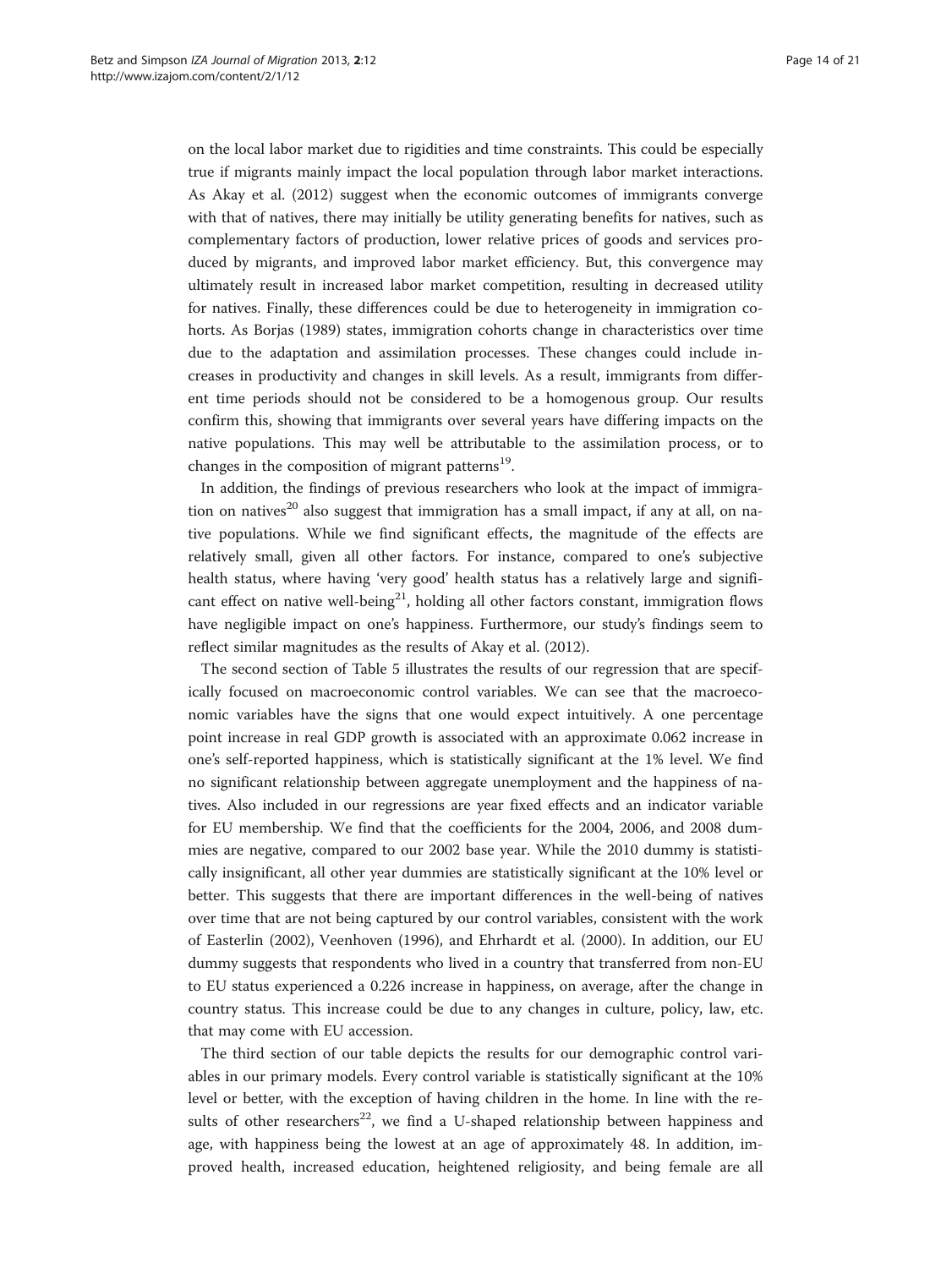on the local labor market due to rigidities and time constraints. This could be especially true if migrants mainly impact the local population through labor market interactions. As Akay et al. ([2012\)](#page-19-0) suggest when the economic outcomes of immigrants converge with that of natives, there may initially be utility generating benefits for natives, such as complementary factors of production, lower relative prices of goods and services produced by migrants, and improved labor market efficiency. But, this convergence may ultimately result in increased labor market competition, resulting in decreased utility for natives. Finally, these differences could be due to heterogeneity in immigration cohorts. As Borjas ([1989](#page-19-0)) states, immigration cohorts change in characteristics over time due to the adaptation and assimilation processes. These changes could include increases in productivity and changes in skill levels. As a result, immigrants from different time periods should not be considered to be a homogenous group. Our results confirm this, showing that immigrants over several years have differing impacts on the native populations. This may well be attributable to the assimilation process, or to changes in the composition of migrant patterns<sup>19</sup>.

In addition, the findings of previous researchers who look at the impact of immigration on natives<sup>20</sup> also suggest that immigration has a small impact, if any at all, on native populations. While we find significant effects, the magnitude of the effects are relatively small, given all other factors. For instance, compared to one's subjective health status, where having 'very good' health status has a relatively large and significant effect on native well-being<sup>21</sup>, holding all other factors constant, immigration flows have negligible impact on one's happiness. Furthermore, our study's findings seem to reflect similar magnitudes as the results of Akay et al. ([2012\)](#page-19-0).

The second section of Table [5](#page-12-0) illustrates the results of our regression that are specifically focused on macroeconomic control variables. We can see that the macroeconomic variables have the signs that one would expect intuitively. A one percentage point increase in real GDP growth is associated with an approximate 0.062 increase in one's self-reported happiness, which is statistically significant at the 1% level. We find no significant relationship between aggregate unemployment and the happiness of natives. Also included in our regressions are year fixed effects and an indicator variable for EU membership. We find that the coefficients for the 2004, 2006, and 2008 dummies are negative, compared to our 2002 base year. While the 2010 dummy is statistically insignificant, all other year dummies are statistically significant at the 10% level or better. This suggests that there are important differences in the well-being of natives over time that are not being captured by our control variables, consistent with the work of Easterlin ([2002](#page-20-0)), Veenhoven [\(1996\)](#page-20-0), and Ehrhardt et al. ([2000](#page-20-0)). In addition, our EU dummy suggests that respondents who lived in a country that transferred from non-EU to EU status experienced a 0.226 increase in happiness, on average, after the change in country status. This increase could be due to any changes in culture, policy, law, etc. that may come with EU accession.

The third section of our table depicts the results for our demographic control variables in our primary models. Every control variable is statistically significant at the 10% level or better, with the exception of having children in the home. In line with the results of other researchers<sup>22</sup>, we find a U-shaped relationship between happiness and age, with happiness being the lowest at an age of approximately 48. In addition, improved health, increased education, heightened religiosity, and being female are all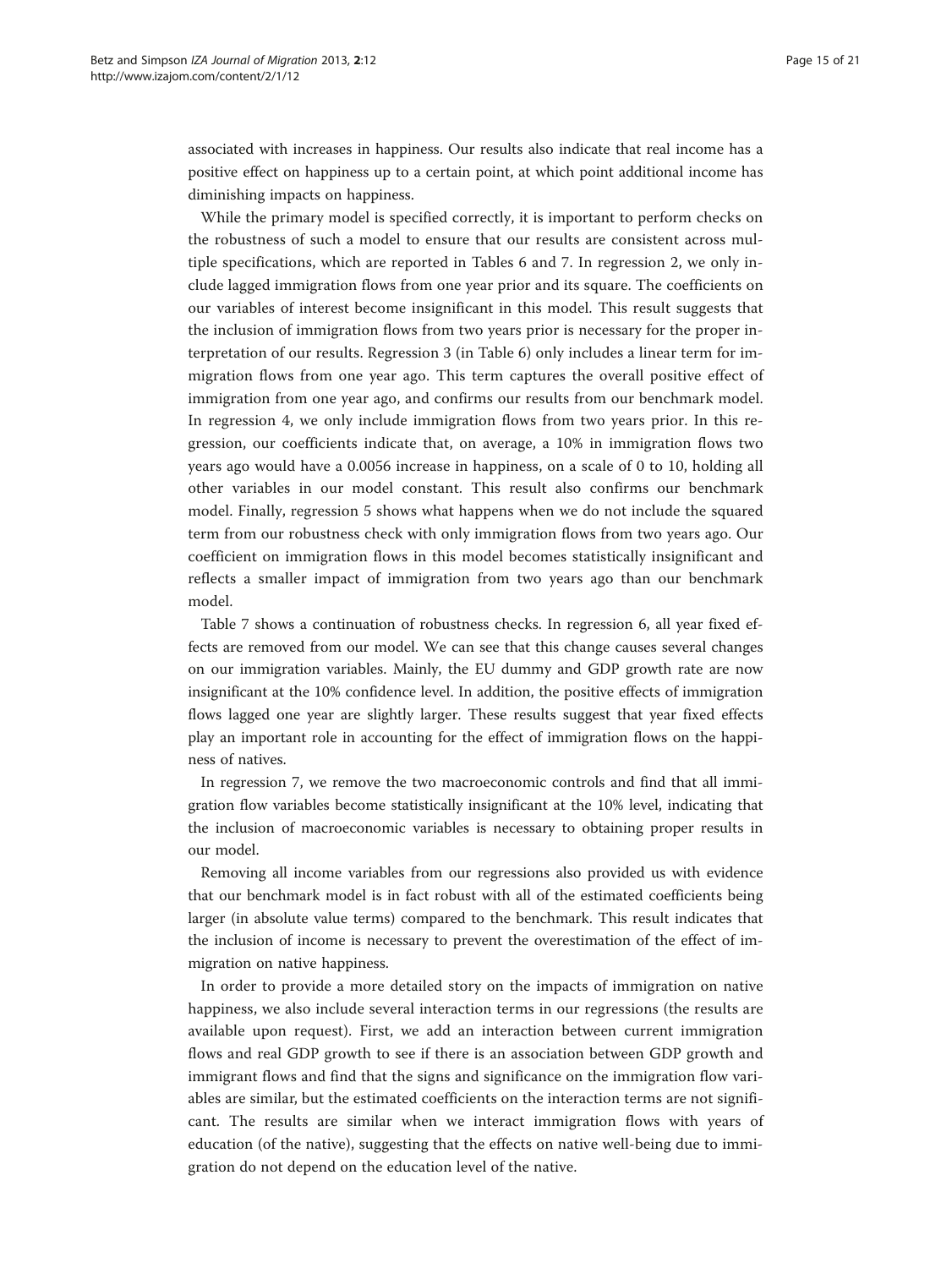associated with increases in happiness. Our results also indicate that real income has a positive effect on happiness up to a certain point, at which point additional income has diminishing impacts on happiness.

While the primary model is specified correctly, it is important to perform checks on the robustness of such a model to ensure that our results are consistent across multiple specifications, which are reported in Tables [6](#page-15-0) and [7.](#page-16-0) In regression 2, we only include lagged immigration flows from one year prior and its square. The coefficients on our variables of interest become insignificant in this model. This result suggests that the inclusion of immigration flows from two years prior is necessary for the proper interpretation of our results. Regression 3 (in Table [6](#page-15-0)) only includes a linear term for immigration flows from one year ago. This term captures the overall positive effect of immigration from one year ago, and confirms our results from our benchmark model. In regression 4, we only include immigration flows from two years prior. In this regression, our coefficients indicate that, on average, a 10% in immigration flows two years ago would have a 0.0056 increase in happiness, on a scale of 0 to 10, holding all other variables in our model constant. This result also confirms our benchmark model. Finally, regression 5 shows what happens when we do not include the squared term from our robustness check with only immigration flows from two years ago. Our coefficient on immigration flows in this model becomes statistically insignificant and reflects a smaller impact of immigration from two years ago than our benchmark model.

Table [7](#page-16-0) shows a continuation of robustness checks. In regression 6, all year fixed effects are removed from our model. We can see that this change causes several changes on our immigration variables. Mainly, the EU dummy and GDP growth rate are now insignificant at the 10% confidence level. In addition, the positive effects of immigration flows lagged one year are slightly larger. These results suggest that year fixed effects play an important role in accounting for the effect of immigration flows on the happiness of natives.

In regression 7, we remove the two macroeconomic controls and find that all immigration flow variables become statistically insignificant at the 10% level, indicating that the inclusion of macroeconomic variables is necessary to obtaining proper results in our model.

Removing all income variables from our regressions also provided us with evidence that our benchmark model is in fact robust with all of the estimated coefficients being larger (in absolute value terms) compared to the benchmark. This result indicates that the inclusion of income is necessary to prevent the overestimation of the effect of immigration on native happiness.

In order to provide a more detailed story on the impacts of immigration on native happiness, we also include several interaction terms in our regressions (the results are available upon request). First, we add an interaction between current immigration flows and real GDP growth to see if there is an association between GDP growth and immigrant flows and find that the signs and significance on the immigration flow variables are similar, but the estimated coefficients on the interaction terms are not significant. The results are similar when we interact immigration flows with years of education (of the native), suggesting that the effects on native well-being due to immigration do not depend on the education level of the native.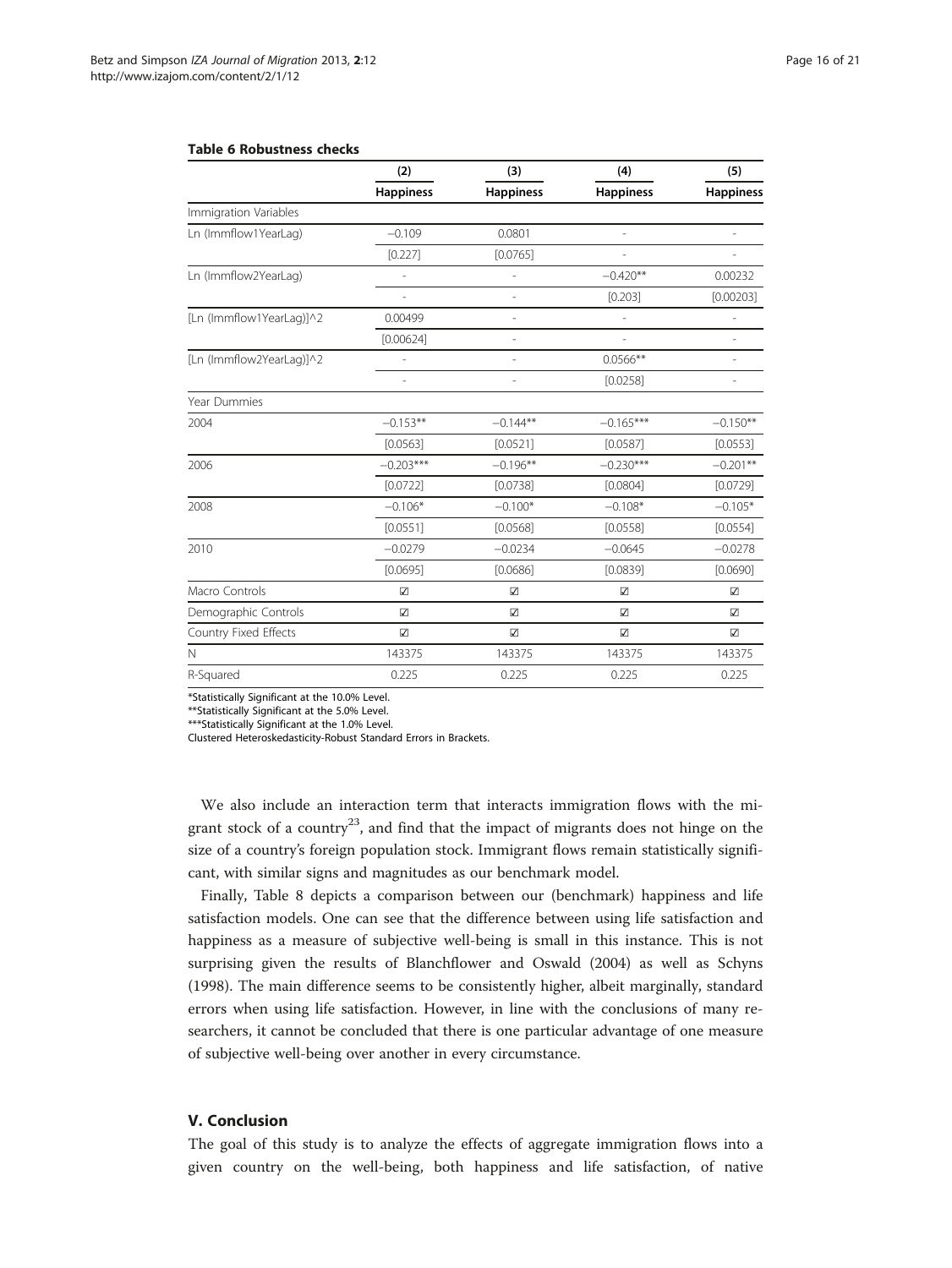#### <span id="page-15-0"></span>Table 6 Robustness checks

|                          | (2)                     | (3)                     | (4)                      | (5)              |  |
|--------------------------|-------------------------|-------------------------|--------------------------|------------------|--|
|                          | <b>Happiness</b>        | <b>Happiness</b>        | <b>Happiness</b>         | <b>Happiness</b> |  |
| Immigration Variables    |                         |                         |                          |                  |  |
| Ln (Immflow1YearLag)     | $-0.109$                | 0.0801                  |                          |                  |  |
|                          | [0.227]                 | [0.0765]                |                          |                  |  |
| Ln (Immflow2YearLag)     |                         |                         | $-0.420**$               | 0.00232          |  |
|                          |                         |                         | [0.203]                  | [0.00203]        |  |
| [Ln (Immflow1YearLag)]^2 | 0.00499                 |                         |                          |                  |  |
|                          | [0.00624]               |                         |                          |                  |  |
| [Ln (Immflow2YearLag)]^2 |                         |                         | $0.0566**$               |                  |  |
|                          |                         |                         | [0.0258]                 |                  |  |
| Year Dummies             |                         |                         |                          |                  |  |
| 2004                     | $-0.153**$              | $-0.144**$              | $-0.165***$              | $-0.150**$       |  |
|                          | [0.0563]                | [0.0521]                | [0.0587]                 | [0.0553]         |  |
| 2006                     | $-0.203***$             | $-0.196**$              | $-0.230***$              | $-0.201**$       |  |
|                          | [0.0722]                | [0.0738]                | [0.0804]                 | [0.0729]         |  |
| 2008                     | $-0.106*$               | $-0.100*$               | $-0.108*$                | $-0.105*$        |  |
|                          | [0.0551]                | [0.0568]                | [0.0558]                 | [0.0554]         |  |
| 2010                     | $-0.0279$               | $-0.0234$               | $-0.0645$                | $-0.0278$        |  |
|                          | [0.0695]                | [0.0686]                | [0.0839]                 | [0.0690]         |  |
| Macro Controls           | $\overline{\mathbf{v}}$ | $\overline{\mathbf{v}}$ | $\overline{\mathcal{L}}$ | $\sqrt{}$        |  |
| Demographic Controls     | $\overline{\mathbf{v}}$ | ☑                       | ☑                        | $\Delta$         |  |
| Country Fixed Effects    | $\overline{\mathbf{v}}$ | ☑                       | $\overline{\mathcal{L}}$ | $\Delta$         |  |
| N                        | 143375                  | 143375                  | 143375                   | 143375           |  |
| R-Squared                | 0.225                   | 0.225                   | 0.225                    | 0.225            |  |

\*Statistically Significant at the 10.0% Level.

\*\*Statistically Significant at the 5.0% Level.

\*\*\*Statistically Significant at the 1.0% Level.

Clustered Heteroskedasticity-Robust Standard Errors in Brackets.

We also include an interaction term that interacts immigration flows with the migrant stock of a country<sup>23</sup>, and find that the impact of migrants does not hinge on the size of a country's foreign population stock. Immigrant flows remain statistically significant, with similar signs and magnitudes as our benchmark model.

Finally, Table [8](#page-17-0) depicts a comparison between our (benchmark) happiness and life satisfaction models. One can see that the difference between using life satisfaction and happiness as a measure of subjective well-being is small in this instance. This is not surprising given the results of Blanchflower and Oswald [\(2004\)](#page-19-0) as well as Schyns ([1998](#page-20-0)). The main difference seems to be consistently higher, albeit marginally, standard errors when using life satisfaction. However, in line with the conclusions of many researchers, it cannot be concluded that there is one particular advantage of one measure of subjective well-being over another in every circumstance.

# V. Conclusion

The goal of this study is to analyze the effects of aggregate immigration flows into a given country on the well-being, both happiness and life satisfaction, of native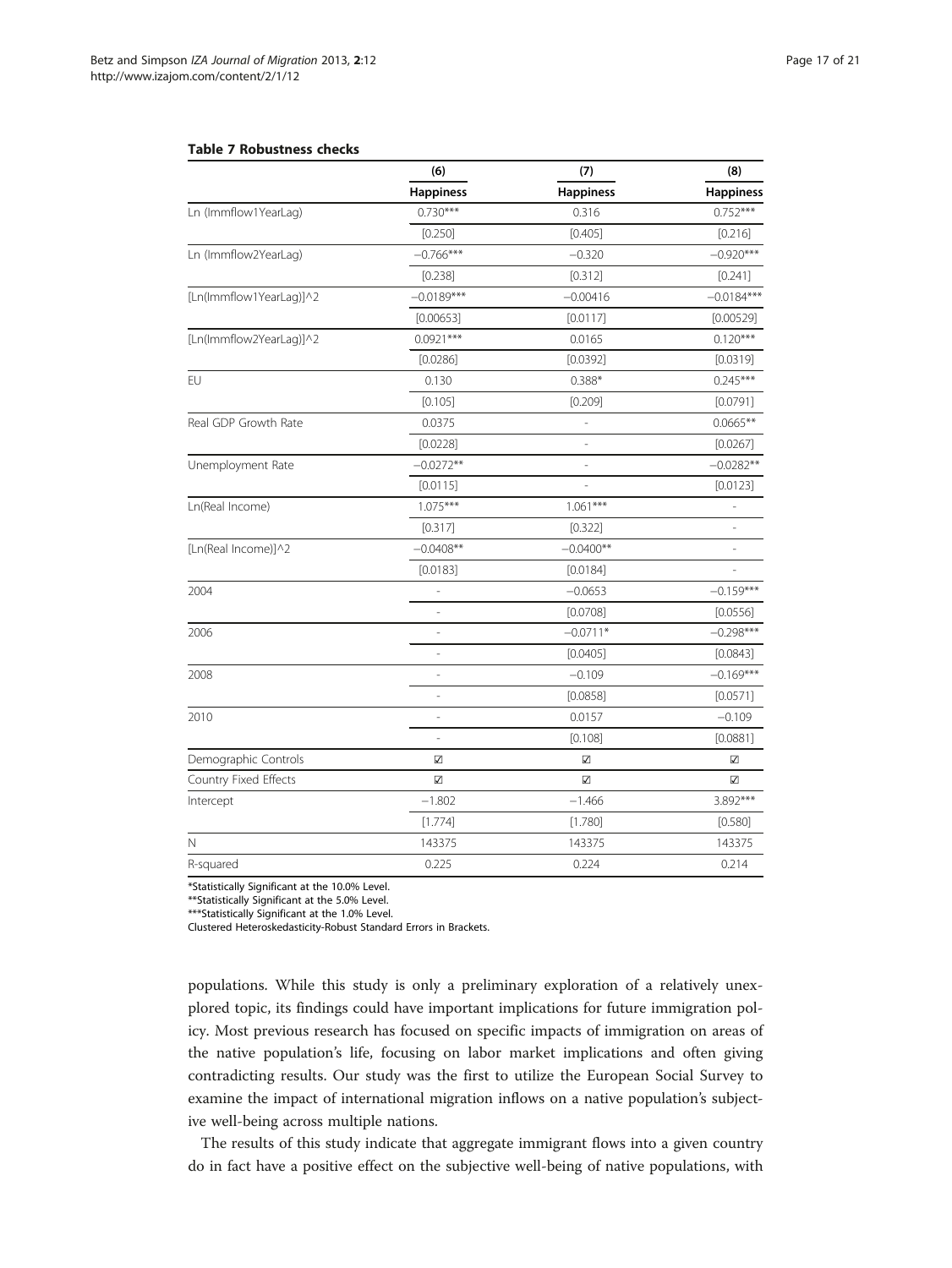#### <span id="page-16-0"></span>Table 7 Robustness checks

|                         | (6)                     | (7)                      | (8)                      |
|-------------------------|-------------------------|--------------------------|--------------------------|
|                         | <b>Happiness</b>        | <b>Happiness</b>         | <b>Happiness</b>         |
| Ln (Immflow1YearLag)    | $0.730***$              | 0.316                    | $0.752***$               |
|                         | [0.250]                 | [0.405]                  | [0.216]                  |
| Ln (Immflow2YearLag)    | $-0.766***$             | $-0.320$                 | $-0.920***$              |
|                         | [0.238]                 | [0.312]                  | [0.241]                  |
| [Ln(Immflow1YearLag)]^2 | $-0.0189***$            | $-0.00416$               | $-0.0184***$             |
|                         | [0.00653]               | [0.0117]                 | [0.00529]                |
| [Ln(Immflow2YearLag)]^2 | $0.0921***$             | 0.0165                   | $0.120***$               |
|                         | [0.0286]                | [0.0392]                 | [0.0319]                 |
| EU                      | 0.130                   | $0.388*$                 | $0.245***$               |
|                         | [0.105]                 | [0.209]                  | [0.0791]                 |
| Real GDP Growth Rate    | 0.0375                  |                          | $0.0665**$               |
|                         | [0.0228]                |                          | [0.0267]                 |
| Unemployment Rate       | $-0.0272**$             |                          | $-0.0282**$              |
|                         | [0.0115]                |                          | [0.0123]                 |
| Ln(Real Income)         | $1.075***$              | $1.061***$               |                          |
|                         | [0.317]                 | [0.322]                  | $\overline{\phantom{0}}$ |
| [Ln(Real Income)]^2     | $-0.0408**$             | $-0.0400**$              |                          |
|                         | [0.0183]                | [0.0184]                 |                          |
| 2004                    |                         | $-0.0653$                | $-0.159***$              |
|                         |                         | [0.0708]                 | [0.0556]                 |
| 2006                    |                         | $-0.0711*$               | $-0.298***$              |
|                         | J.                      | [0.0405]                 | [0.0843]                 |
| 2008                    |                         | $-0.109$                 | $-0.169***$              |
|                         |                         | [0.0858]                 | [0.0571]                 |
| 2010                    |                         | 0.0157                   | $-0.109$                 |
|                         | i,                      | [0.108]                  | [0.0881]                 |
| Demographic Controls    | ☑                       | $\overline{\mathcal{L}}$ | $\overline{\mathcal{L}}$ |
| Country Fixed Effects   | $\overline{\mathbf{v}}$ | $\overline{\mathbf{V}}$  | $\overline{\mathcal{L}}$ |
| Intercept               | $-1.802$                | $-1.466$                 | 3.892***                 |
|                         | [1.774]                 | [1.780]                  | [0.580]                  |
| Ν                       | 143375                  | 143375                   | 143375                   |
| R-squared               | 0.225                   | 0.224                    | 0.214                    |

\*Statistically Significant at the 10.0% Level.

\*\*Statistically Significant at the 5.0% Level.

\*\*\*Statistically Significant at the 1.0% Level.

Clustered Heteroskedasticity-Robust Standard Errors in Brackets.

populations. While this study is only a preliminary exploration of a relatively unexplored topic, its findings could have important implications for future immigration policy. Most previous research has focused on specific impacts of immigration on areas of the native population's life, focusing on labor market implications and often giving contradicting results. Our study was the first to utilize the European Social Survey to examine the impact of international migration inflows on a native population's subjective well-being across multiple nations.

The results of this study indicate that aggregate immigrant flows into a given country do in fact have a positive effect on the subjective well-being of native populations, with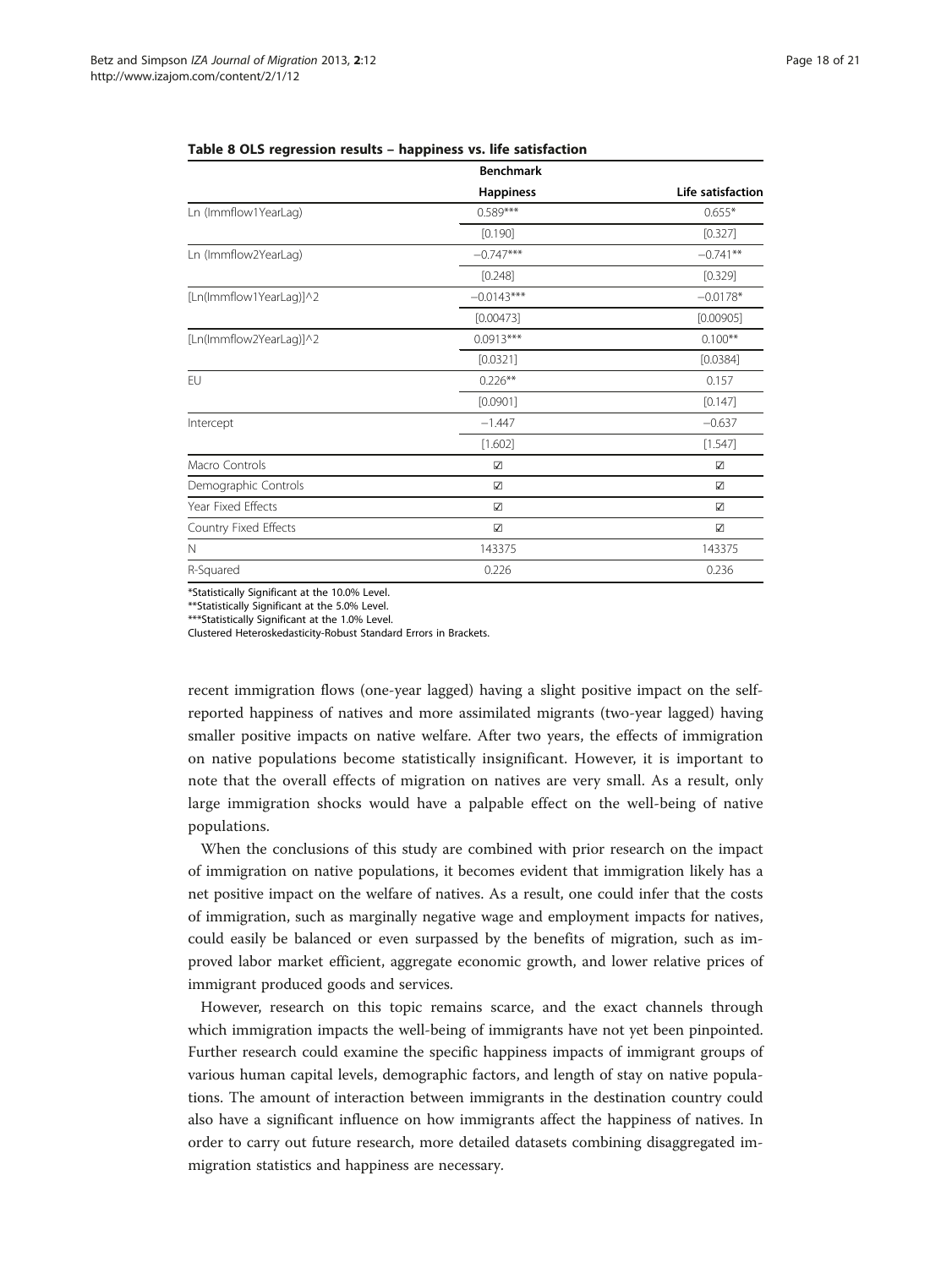|                         | <b>Benchmark</b>        |                   |
|-------------------------|-------------------------|-------------------|
|                         | <b>Happiness</b>        | Life satisfaction |
| Ln (Immflow1YearLag)    | $0.589***$              | $0.655*$          |
|                         | [0.190]                 | [0.327]           |
| Ln (Immflow2YearLag)    | $-0.747***$             | $-0.741**$        |
|                         | [0.248]                 | [0.329]           |
| [Ln(Immflow1YearLag)]^2 | $-0.0143***$            | $-0.0178*$        |
|                         | [0.00473]               | [0.00905]         |
| [Ln(Immflow2YearLag)]^2 | $0.0913***$             | $0.100**$         |
|                         | [0.0321]                | [0.0384]          |
| <b>FU</b>               | $0.226***$              | 0.157             |
|                         | [0.0901]                | [0.147]           |
| Intercept               | $-1.447$                | $-0.637$          |
|                         | [1.602]                 | [1.547]           |
| Macro Controls          | ☑                       | ☑                 |
| Demographic Controls    | $\overline{\mathbf{v}}$ | ☑                 |
| Year Fixed Effects      | V                       | V                 |
| Country Fixed Effects   | V                       | V                 |
| N                       | 143375                  | 143375            |
| R-Squared               | 0.226                   | 0.236             |

#### <span id="page-17-0"></span>Table 8 OLS regression results – happiness vs. life satisfaction

\*Statistically Significant at the 10.0% Level.

\*\*Statistically Significant at the 5.0% Level.

\*\*\*Statistically Significant at the 1.0% Level.

Clustered Heteroskedasticity-Robust Standard Errors in Brackets.

recent immigration flows (one-year lagged) having a slight positive impact on the selfreported happiness of natives and more assimilated migrants (two-year lagged) having smaller positive impacts on native welfare. After two years, the effects of immigration on native populations become statistically insignificant. However, it is important to note that the overall effects of migration on natives are very small. As a result, only large immigration shocks would have a palpable effect on the well-being of native populations.

When the conclusions of this study are combined with prior research on the impact of immigration on native populations, it becomes evident that immigration likely has a net positive impact on the welfare of natives. As a result, one could infer that the costs of immigration, such as marginally negative wage and employment impacts for natives, could easily be balanced or even surpassed by the benefits of migration, such as improved labor market efficient, aggregate economic growth, and lower relative prices of immigrant produced goods and services.

However, research on this topic remains scarce, and the exact channels through which immigration impacts the well-being of immigrants have not yet been pinpointed. Further research could examine the specific happiness impacts of immigrant groups of various human capital levels, demographic factors, and length of stay on native populations. The amount of interaction between immigrants in the destination country could also have a significant influence on how immigrants affect the happiness of natives. In order to carry out future research, more detailed datasets combining disaggregated immigration statistics and happiness are necessary.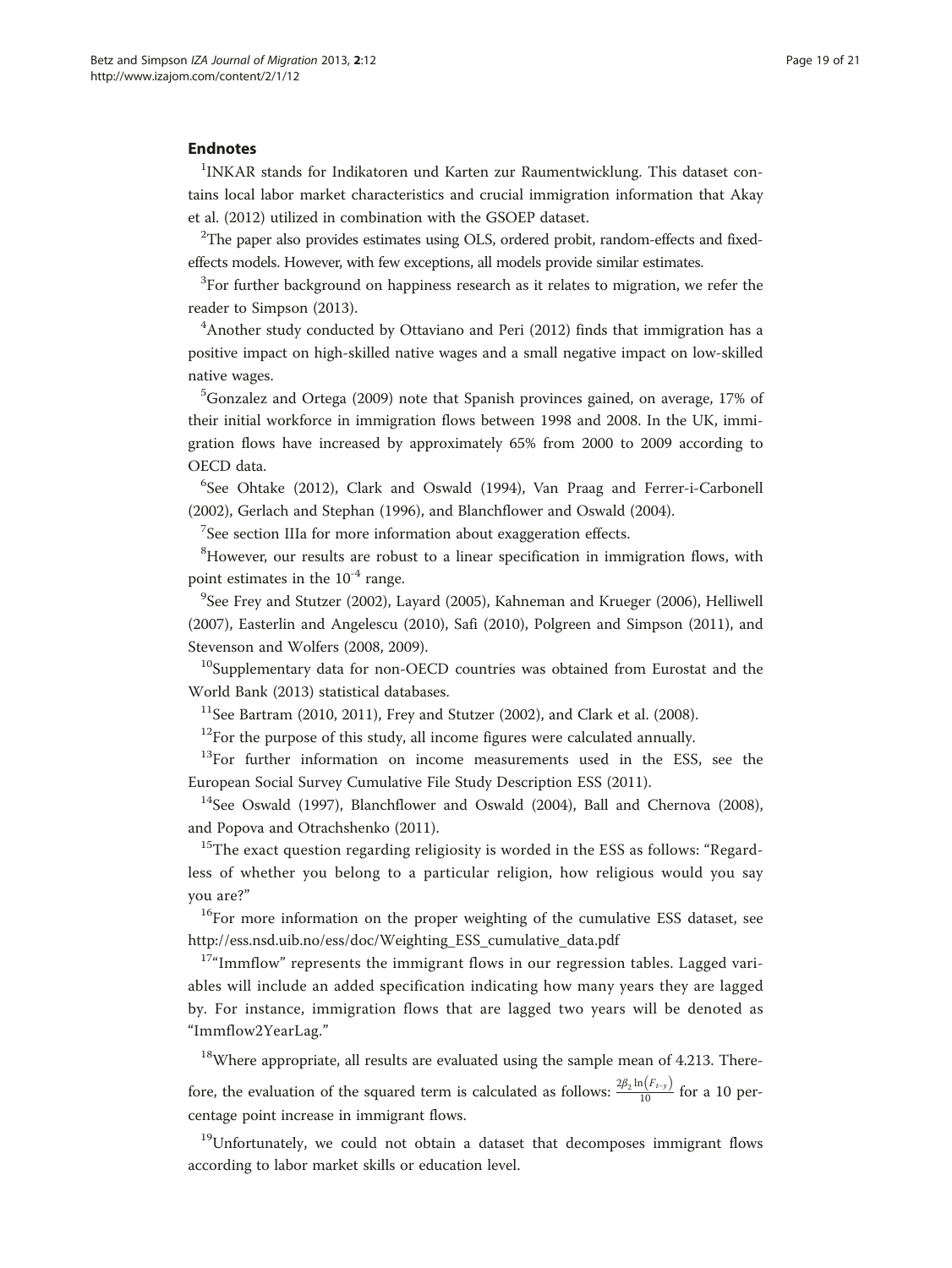#### Endnotes

<sup>1</sup>INKAR stands for Indikatoren und Karten zur Raumentwicklung. This dataset contains local labor market characteristics and crucial immigration information that Akay et al. [\(2012\)](#page-19-0) utilized in combination with the GSOEP dataset.

 $2$ The paper also provides estimates using OLS, ordered probit, random-effects and fixedeffects models. However, with few exceptions, all models provide similar estimates.

 $3$ For further background on happiness research as it relates to migration, we refer the reader to Simpson ([2013\)](#page-20-0).

<sup>4</sup> Another study conducted by Ottaviano and Peri [\(2012](#page-20-0)) finds that immigration has a positive impact on high-skilled native wages and a small negative impact on low-skilled native wages.

5 Gonzalez and Ortega [\(2009](#page-20-0)) note that Spanish provinces gained, on average, 17% of their initial workforce in immigration flows between 1998 and 2008. In the UK, immigration flows have increased by approximately 65% from 2000 to 2009 according to OECD data.

6 See Ohtake ([2012](#page-20-0)), Clark and Oswald ([1994](#page-19-0)), Van Praag and Ferrer-i-Carbonell ([2002](#page-20-0)), Gerlach and Stephan ([1996](#page-20-0)), and Blanchflower and Oswald [\(2004](#page-19-0)).

 $7$ See section IIIa for more information about exaggeration effects.

<sup>8</sup>However, our results are robust to a linear specification in immigration flows, with point estimates in the  $10^{-4}$  range.

<sup>9</sup>See Frey and Stutzer ([2002\)](#page-20-0), Layard ([2005](#page-20-0)), Kahneman and Krueger ([2006](#page-20-0)), Helliwell ([2007](#page-20-0)), Easterlin and Angelescu ([2010](#page-20-0)), Safi ([2010](#page-20-0)), Polgreen and Simpson [\(2011\)](#page-20-0), and Stevenson and Wolfers [\(2008, 2009\)](#page-20-0).

 $10$ Supplementary data for non-OECD countries was obtained from Eurostat and the World Bank ([2013](#page-20-0)) statistical databases.

 $11$ See Bartram [\(2010, 2011\)](#page-19-0), Frey and Stutzer ([2002](#page-20-0)), and Clark et al. [\(2008\)](#page-19-0).

 $12$ For the purpose of this study, all income figures were calculated annually.

<sup>13</sup>For further information on income measurements used in the ESS, see the European Social Survey Cumulative File Study Description ESS ([2011\)](#page-20-0).

 $14$ See Oswald ([1997\)](#page-20-0), Blanchflower and Oswald ([2004](#page-19-0)), Ball and Chernova ([2008](#page-19-0)), and Popova and Otrachshenko [\(2011\)](#page-20-0).

<sup>15</sup>The exact question regarding religiosity is worded in the ESS as follows: "Regardless of whether you belong to a particular religion, how religious would you say you are?"

<sup>16</sup>For more information on the proper weighting of the cumulative ESS dataset, see [http://ess.nsd.uib.no/ess/doc/Weighting\\_ESS\\_cumulative\\_data.pdf](http://ess.nsd.uib.no/ess/doc/Weighting_ESS_cumulative_data.pdf)

 $17<sup>47</sup>$ "Immflow" represents the immigrant flows in our regression tables. Lagged variables will include an added specification indicating how many years they are lagged by. For instance, immigration flows that are lagged two years will be denoted as "Immflow2YearLag."

<sup>18</sup>Where appropriate, all results are evaluated using the sample mean of 4.213. Therefore, the evaluation of the squared term is calculated as follows:  $\frac{2\beta_2 \ln(F_{t-y})}{10}$  for a 10 percentage point increase in immigrant flows.

<sup>19</sup>Unfortunately, we could not obtain a dataset that decomposes immigrant flows according to labor market skills or education level.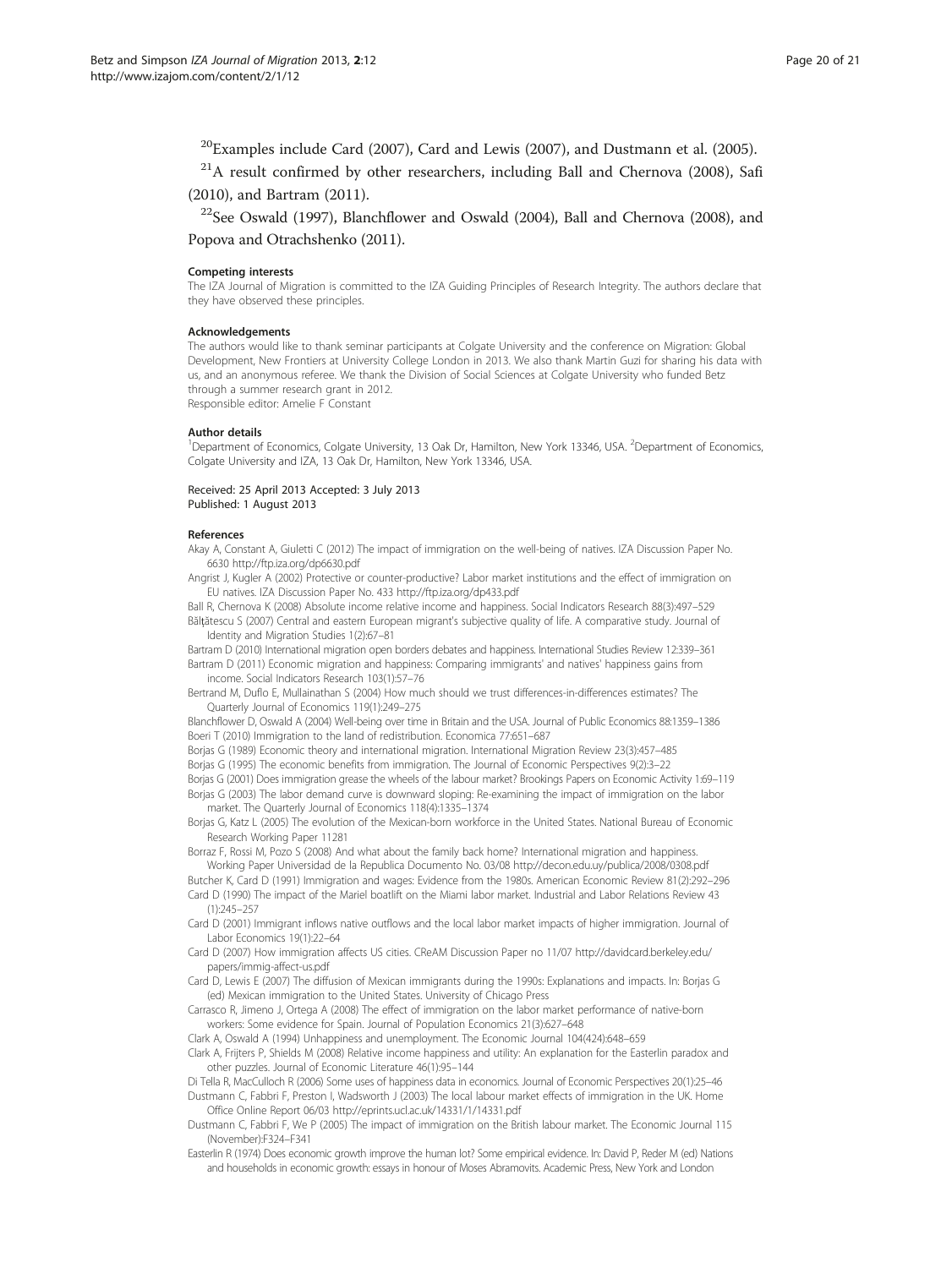<span id="page-19-0"></span> $^{20}$ Examples include Card (2007), Card and Lewis (2007), and Dustmann et al. (2005).

 $^{21}$ A result confirmed by other researchers, including Ball and Chernova (2008), Safi ([2010](#page-20-0)), and Bartram (2011).

 $22$ See Oswald ([1997\)](#page-20-0), Blanchflower and Oswald (2004), Ball and Chernova (2008), and Popova and Otrachshenko [\(2011](#page-20-0)).

#### Competing interests

The IZA Journal of Migration is committed to the IZA Guiding Principles of Research Integrity. The authors declare that they have observed these principles.

#### Acknowledgements

The authors would like to thank seminar participants at Colgate University and the conference on Migration: Global Development, New Frontiers at University College London in 2013. We also thank Martin Guzi for sharing his data with us, and an anonymous referee. We thank the Division of Social Sciences at Colgate University who funded Betz through a summer research grant in 2012. Responsible editor: Amelie F Constant

#### Author details

<sup>1</sup>Department of Economics, Colgate University, 13 Oak Dr, Hamilton, New York 13346, USA. <sup>2</sup>Department of Economics, Colgate University and IZA, 13 Oak Dr, Hamilton, New York 13346, USA.

#### Received: 25 April 2013 Accepted: 3 July 2013 Published: 1 August 2013

#### References

Akay A, Constant A, Giuletti C (2012) The impact of immigration on the well-being of natives. IZA Discussion Paper No. 6630<http://ftp.iza.org/dp6630.pdf>

Angrist J, Kugler A (2002) Protective or counter-productive? Labor market institutions and the effect of immigration on EU natives. IZA Discussion Paper No. 433<http://ftp.iza.org/dp433.pdf>

Ball R, Chernova K (2008) Absolute income relative income and happiness. Social Indicators Research 88(3):497–529 Bălțătescu S (2007) Central and eastern European migrant's subjective quality of life. A comparative study. Journal of Identity and Migration Studies 1(2):67–81

Bartram D (2010) International migration open borders debates and happiness. International Studies Review 12:339–361 Bartram D (2011) Economic migration and happiness: Comparing immigrants' and natives' happiness gains from income. Social Indicators Research 103(1):57–76

Bertrand M, Duflo E, Mullainathan S (2004) How much should we trust differences-in-differences estimates? The Quarterly Journal of Economics 119(1):249–275

Blanchflower D, Oswald A (2004) Well-being over time in Britain and the USA. Journal of Public Economics 88:1359–1386 Boeri T (2010) Immigration to the land of redistribution. Economica 77:651–687

Borjas G (1989) Economic theory and international migration. International Migration Review 23(3):457–485

Borjas G (1995) The economic benefits from immigration. The Journal of Economic Perspectives 9(2):3–22

Borjas G (2001) Does immigration grease the wheels of the labour market? Brookings Papers on Economic Activity 1:69–119 Borjas G (2003) The labor demand curve is downward sloping: Re-examining the impact of immigration on the labor market. The Quarterly Journal of Economics 118(4):1335–1374

Borjas G, Katz L (2005) The evolution of the Mexican-born workforce in the United States. National Bureau of Economic Research Working Paper 11281

Borraz F, Rossi M, Pozo S (2008) And what about the family back home? International migration and happiness. Working Paper Universidad de la Republica Documento No. 03/08<http://decon.edu.uy/publica/2008/0308.pdf>

Butcher K, Card D (1991) Immigration and wages: Evidence from the 1980s. American Economic Review 81(2):292–296 Card D (1990) The impact of the Mariel boatlift on the Miami labor market. Industrial and Labor Relations Review 43

(1):245–257

Card D (2001) Immigrant inflows native outflows and the local labor market impacts of higher immigration. Journal of Labor Economics 19(1):22–64

Card D (2007) How immigration affects US cities. CReAM Discussion Paper no 11/07 [http://davidcard.berkeley.edu/](http://davidcard.berkeley.edu/papers/immig-affect-us.pdf) [papers/immig-affect-us.pdf](http://davidcard.berkeley.edu/papers/immig-affect-us.pdf)

Card D, Lewis E (2007) The diffusion of Mexican immigrants during the 1990s: Explanations and impacts. In: Borjas G (ed) Mexican immigration to the United States. University of Chicago Press

Carrasco R, Jimeno J, Ortega A (2008) The effect of immigration on the labor market performance of native-born workers: Some evidence for Spain. Journal of Population Economics 21(3):627–648

Clark A, Oswald A (1994) Unhappiness and unemployment. The Economic Journal 104(424):648–659

Clark A, Frijters P, Shields M (2008) Relative income happiness and utility: An explanation for the Easterlin paradox and other puzzles. Journal of Economic Literature 46(1):95–144

Di Tella R, MacCulloch R (2006) Some uses of happiness data in economics. Journal of Economic Perspectives 20(1):25–46 Dustmann C, Fabbri F, Preston I, Wadsworth J (2003) The local labour market effects of immigration in the UK. Home Office Online Report 06/03<http://eprints.ucl.ac.uk/14331/1/14331.pdf>

Dustmann C, Fabbri F, We P (2005) The impact of immigration on the British labour market. The Economic Journal 115 (November):F324–F341

Easterlin R (1974) Does economic growth improve the human lot? Some empirical evidence. In: David P, Reder M (ed) Nations and households in economic growth: essays in honour of Moses Abramovits. Academic Press, New York and London